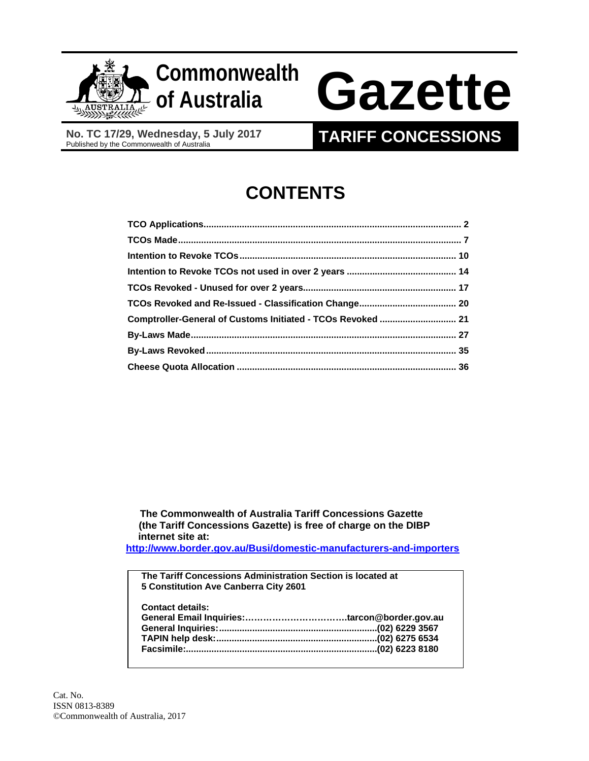

## **Commonwealth**

# **of Australia Gazette**

**No. TC 17/29, Wednesday, 5 July 2017** 

### **TARIFF CONCESSIONS**

## **CONTENTS**

| Comptroller-General of Customs Initiated - TCOs Revoked  21 |  |
|-------------------------------------------------------------|--|
|                                                             |  |
|                                                             |  |
|                                                             |  |

 **The Commonwealth of Australia Tariff Concessions Gazette (the Tariff Concessions Gazette) is free of charge on the DIBP internet site at:** 

**http://www.border.gov.au/Busi/domestic-manufacturers-and-importers**

**The Tariff Concessions Administration Section is located at 5 Constitution Ave Canberra City 2601 Contact details: General Email Inquiries:…………………………….tarcon@border.gov.au General Inquiries: .............................................................. (02) 6229 3567 TAPIN help desk: ............................................................... (02) 6275 6534 Facsimile:........................................................................... (02) 6223 8180**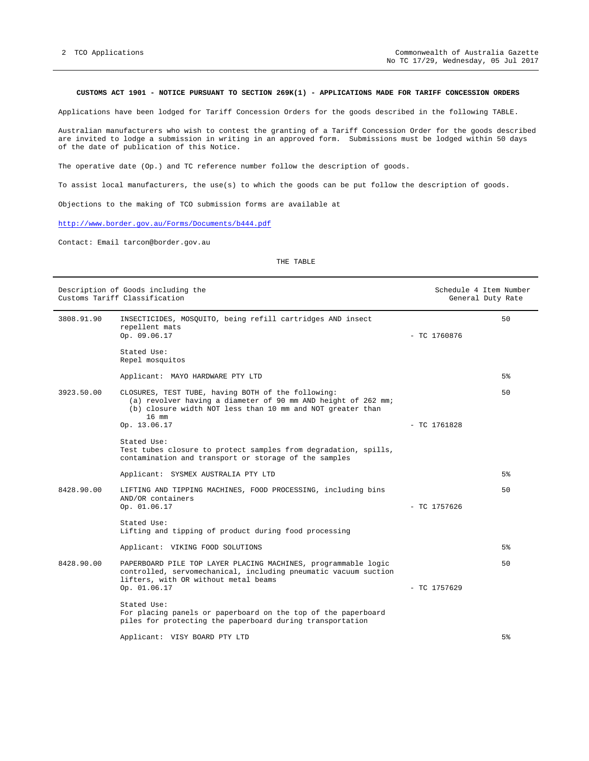#### **CUSTOMS ACT 1901 - NOTICE PURSUANT TO SECTION 269K(1) - APPLICATIONS MADE FOR TARIFF CONCESSION ORDERS**

Applications have been lodged for Tariff Concession Orders for the goods described in the following TABLE.

Australian manufacturers who wish to contest the granting of a Tariff Concession Order for the goods described are invited to lodge a submission in writing in an approved form. Submissions must be lodged within 50 days of the date of publication of this Notice.

The operative date (Op.) and TC reference number follow the description of goods.

To assist local manufacturers, the use(s) to which the goods can be put follow the description of goods.

Objections to the making of TCO submission forms are available at

http://www.border.gov.au/Forms/Documents/b444.pdf

Contact: Email tarcon@border.gov.au

THE TABLE

|            | Description of Goods including the<br>Customs Tariff Classification                                                                                                                        |                | Schedule 4 Item Number<br>General Duty Rate |
|------------|--------------------------------------------------------------------------------------------------------------------------------------------------------------------------------------------|----------------|---------------------------------------------|
| 3808.91.90 | INSECTICIDES, MOSQUITO, being refill cartridges AND insect<br>repellent mats<br>Op. 09.06.17                                                                                               | $-$ TC 1760876 | 50                                          |
|            | Stated Use:<br>Repel mosquitos                                                                                                                                                             |                |                                             |
|            | Applicant: MAYO HARDWARE PTY LTD                                                                                                                                                           |                | 5%                                          |
| 3923.50.00 | CLOSURES, TEST TUBE, having BOTH of the following:<br>(a) revolver having a diameter of 90 mm AND height of 262 mm;<br>(b) closure width NOT less than 10 mm and NOT greater than<br>16 mm |                | 50                                          |
|            | Op. 13.06.17                                                                                                                                                                               | $-$ TC 1761828 |                                             |
|            | Stated Use:<br>Test tubes closure to protect samples from degradation, spills,<br>contamination and transport or storage of the samples                                                    |                |                                             |
|            | Applicant: SYSMEX AUSTRALIA PTY LTD                                                                                                                                                        |                | 5%                                          |
| 8428.90.00 | LIFTING AND TIPPING MACHINES, FOOD PROCESSING, including bins<br>AND/OR containers<br>Op. 01.06.17                                                                                         | $-$ TC 1757626 | 50                                          |
|            | Stated Use:<br>Lifting and tipping of product during food processing                                                                                                                       |                |                                             |
|            | Applicant: VIKING FOOD SOLUTIONS                                                                                                                                                           |                | 5%                                          |
| 8428.90.00 | PAPERBOARD PILE TOP LAYER PLACING MACHINES, programmable logic<br>controlled, servomechanical, including pneumatic vacuum suction<br>lifters, with OR without metal beams<br>Op. 01.06.17  | $-$ TC 1757629 | 50                                          |
|            | Stated Use:<br>For placing panels or paperboard on the top of the paperboard<br>piles for protecting the paperboard during transportation                                                  |                |                                             |
|            | Applicant: VISY BOARD PTY LTD                                                                                                                                                              |                | 5%                                          |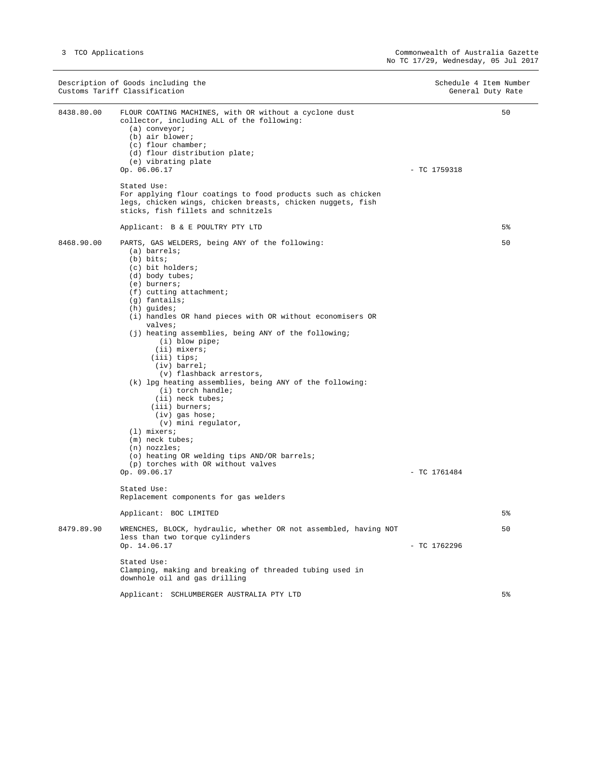Ξ,

 $\overline{\phantom{a}}$ 

|            | Description of Goods including the<br>Customs Tariff Classification                                                                                                                                                                                                                                                                                                                                                                                                                                                                                                                                                                                                                                                                                                    | Schedule 4 Item Number<br>General Duty Rate |    |
|------------|------------------------------------------------------------------------------------------------------------------------------------------------------------------------------------------------------------------------------------------------------------------------------------------------------------------------------------------------------------------------------------------------------------------------------------------------------------------------------------------------------------------------------------------------------------------------------------------------------------------------------------------------------------------------------------------------------------------------------------------------------------------------|---------------------------------------------|----|
| 8438.80.00 | FLOUR COATING MACHINES, with OR without a cyclone dust<br>collector, including ALL of the following:<br>$(a)$ conveyor;<br>(b) air blower;<br>$(c)$ flour chamber;<br>(d) flour distribution plate;<br>(e) vibrating plate<br>Op. 06.06.17<br>Stated Use:                                                                                                                                                                                                                                                                                                                                                                                                                                                                                                              | $-$ TC 1759318                              | 50 |
|            | For applying flour coatings to food products such as chicken<br>legs, chicken wings, chicken breasts, chicken nuggets, fish<br>sticks, fish fillets and schnitzels                                                                                                                                                                                                                                                                                                                                                                                                                                                                                                                                                                                                     |                                             |    |
|            | Applicant: B & E POULTRY PTY LTD                                                                                                                                                                                                                                                                                                                                                                                                                                                                                                                                                                                                                                                                                                                                       |                                             | 5% |
| 8468.90.00 | PARTS, GAS WELDERS, being ANY of the following:<br>(a) barrels;<br>$(b)$ bits;<br>(c) bit holders;<br>$(d)$ body tubes;<br>$(e)$ burners;<br>$(f)$ cutting attachment;<br>$(g)$ fantails;<br>$(h)$ guides;<br>(i) handles OR hand pieces with OR without economisers OR<br>valves;<br>(j) heating assemblies, being ANY of the following;<br>$(i)$ blow pipe;<br>(ii) mixers;<br>$(iii)$ tips;<br>(iv) barrel;<br>(v) flashback arrestors,<br>(k) lpg heating assemblies, being ANY of the following:<br>(i) torch handle;<br>(ii) neck tubes;<br>(iii) burners;<br>(iv) gas hose;<br>(v) mini regulator,<br>$(1)$ mixers;<br>$(m)$ neck tubes;<br>$(n)$ nozzles;<br>(o) heating OR welding tips AND/OR barrels;<br>(p) torches with OR without valves<br>Op. 09.06.17 | $-$ TC 1761484                              | 50 |
|            | Stated Use:<br>Replacement components for gas welders                                                                                                                                                                                                                                                                                                                                                                                                                                                                                                                                                                                                                                                                                                                  |                                             |    |
|            | Applicant: BOC LIMITED                                                                                                                                                                                                                                                                                                                                                                                                                                                                                                                                                                                                                                                                                                                                                 |                                             | 5% |
| 8479.89.90 | WRENCHES, BLOCK, hydraulic, whether OR not assembled, having NOT<br>less than two torque cylinders<br>Op. 14.06.17<br>Stated Use:<br>Clamping, making and breaking of threaded tubing used in                                                                                                                                                                                                                                                                                                                                                                                                                                                                                                                                                                          | - TC 1762296                                | 50 |
|            | downhole oil and gas drilling                                                                                                                                                                                                                                                                                                                                                                                                                                                                                                                                                                                                                                                                                                                                          |                                             |    |
|            | Applicant: SCHLUMBERGER AUSTRALIA PTY LTD                                                                                                                                                                                                                                                                                                                                                                                                                                                                                                                                                                                                                                                                                                                              |                                             | 5% |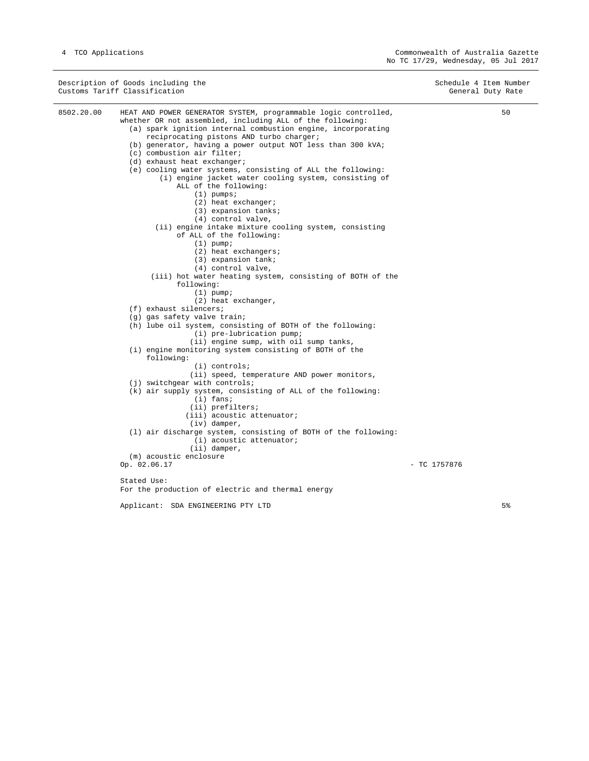|            | Description of Goods including the<br>Customs Tariff Classification                                                                                                                                                                                                                                                                                                                                                                                                                                                                                                                                                                                                                                                                                                                                                                                                                                                                                                                                                                                                                                                                                                                                                                                                                                                                                                                                                                                                                                                                                                                          | Schedule 4 Item Number<br>General Duty Rate |                |
|------------|----------------------------------------------------------------------------------------------------------------------------------------------------------------------------------------------------------------------------------------------------------------------------------------------------------------------------------------------------------------------------------------------------------------------------------------------------------------------------------------------------------------------------------------------------------------------------------------------------------------------------------------------------------------------------------------------------------------------------------------------------------------------------------------------------------------------------------------------------------------------------------------------------------------------------------------------------------------------------------------------------------------------------------------------------------------------------------------------------------------------------------------------------------------------------------------------------------------------------------------------------------------------------------------------------------------------------------------------------------------------------------------------------------------------------------------------------------------------------------------------------------------------------------------------------------------------------------------------|---------------------------------------------|----------------|
| 8502.20.00 | HEAT AND POWER GENERATOR SYSTEM, programmable logic controlled,<br>whether OR not assembled, including ALL of the following:<br>(a) spark ignition internal combustion engine, incorporating<br>reciprocating pistons AND turbo charger;<br>(b) generator, having a power output NOT less than 300 kVA;<br>(c) combustion air filter;<br>(d) exhaust heat exchanger;<br>(e) cooling water systems, consisting of ALL the following:<br>(i) engine jacket water cooling system, consisting of<br>ALL of the following:<br>$(1)$ pumps;<br>(2) heat exchanger;<br>(3) expansion tanks;<br>(4) control valve,<br>(ii) engine intake mixture cooling system, consisting<br>of ALL of the following:<br>$(1)$ pump;<br>$(2)$ heat exchangers;<br>(3) expansion tank;<br>(4) control valve,<br>(iii) hot water heating system, consisting of BOTH of the<br>following:<br>$(1)$ pump;<br>(2) heat exchanger,<br>$(f)$ exhaust silencers;<br>(g) gas safety valve train;<br>(h) lube oil system, consisting of BOTH of the following:<br>$(i)$ pre-lubrication pump;<br>(ii) engine sump, with oil sump tanks,<br>(i) engine monitoring system consisting of BOTH of the<br>following:<br>$(i)$ controls;<br>(ii) speed, temperature AND power monitors,<br>(j) switchgear with controls;<br>(k) air supply system, consisting of ALL of the following:<br>$(i)$ fans;<br>(ii) prefilters;<br>(iii) acoustic attenuator;<br>$(iv)$ damper,<br>(1) air discharge system, consisting of BOTH of the following:<br>(i) acoustic attenuator;<br>$(i)$ damper,<br>(m) acoustic enclosure<br>Op. 02.06.17 | $-$ TC 1757876                              | 50             |
|            | Stated Use:                                                                                                                                                                                                                                                                                                                                                                                                                                                                                                                                                                                                                                                                                                                                                                                                                                                                                                                                                                                                                                                                                                                                                                                                                                                                                                                                                                                                                                                                                                                                                                                  |                                             |                |
|            | For the production of electric and thermal energy                                                                                                                                                                                                                                                                                                                                                                                                                                                                                                                                                                                                                                                                                                                                                                                                                                                                                                                                                                                                                                                                                                                                                                                                                                                                                                                                                                                                                                                                                                                                            |                                             |                |
|            | Applicant: SDA ENGINEERING PTY LTD                                                                                                                                                                                                                                                                                                                                                                                                                                                                                                                                                                                                                                                                                                                                                                                                                                                                                                                                                                                                                                                                                                                                                                                                                                                                                                                                                                                                                                                                                                                                                           |                                             | 5 <sup>8</sup> |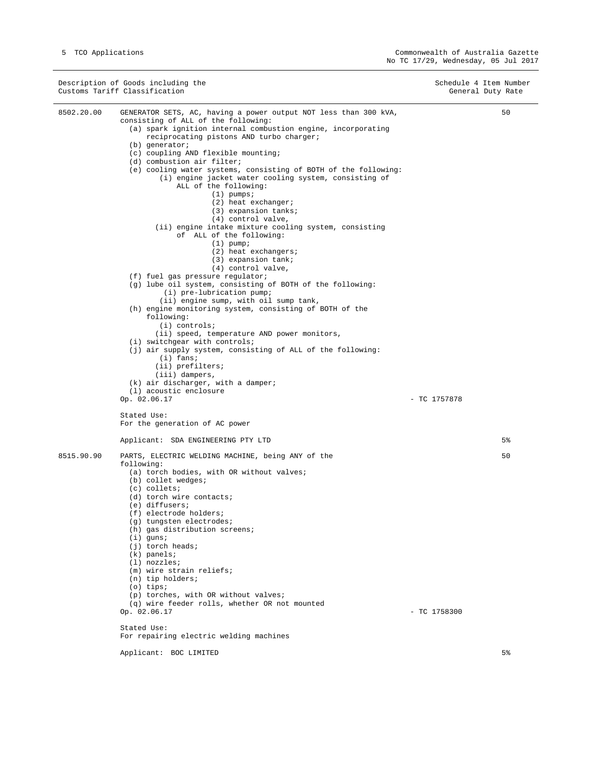|            | Description of Goods including the<br>Customs Tariff Classification                                                                                                                                                                                                                                                                                                                                                                                                                                                                                                                                                                                                                                                                                                                                                                                                                                                                                                                                                                                                                                                                                                                                                                                                                                          | Schedule 4 Item Number<br>General Duty Rate |                |
|------------|--------------------------------------------------------------------------------------------------------------------------------------------------------------------------------------------------------------------------------------------------------------------------------------------------------------------------------------------------------------------------------------------------------------------------------------------------------------------------------------------------------------------------------------------------------------------------------------------------------------------------------------------------------------------------------------------------------------------------------------------------------------------------------------------------------------------------------------------------------------------------------------------------------------------------------------------------------------------------------------------------------------------------------------------------------------------------------------------------------------------------------------------------------------------------------------------------------------------------------------------------------------------------------------------------------------|---------------------------------------------|----------------|
| 8502.20.00 | GENERATOR SETS, AC, having a power output NOT less than 300 kVA,<br>consisting of ALL of the following:<br>(a) spark ignition internal combustion engine, incorporating<br>reciprocating pistons AND turbo charger;<br>$(b)$ generator;<br>(c) coupling AND flexible mounting;<br>(d) combustion air filter;<br>(e) cooling water systems, consisting of BOTH of the following:<br>(i) engine jacket water cooling system, consisting of<br>ALL of the following:<br>$(1)$ pumps;<br>(2) heat exchanger;<br>(3) expansion tanks;<br>(4) control valve,<br>(ii) engine intake mixture cooling system, consisting<br>of ALL of the following:<br>$(1)$ pump;<br>$(2)$ heat exchangers;<br>(3) expansion tank;<br>(4) control valve,<br>(f) fuel gas pressure regulator;<br>(g) lube oil system, consisting of BOTH of the following:<br>$(i)$ pre-lubrication pump;<br>(ii) engine sump, with oil sump tank,<br>(h) engine monitoring system, consisting of BOTH of the<br>following:<br>$(i)$ controls;<br>(ii) speed, temperature AND power monitors,<br>$(i)$ switchgear with controls;<br>(j) air supply system, consisting of ALL of the following:<br>$(i)$ fans;<br>(ii) prefilters;<br>(iii) dampers,<br>$(k)$ air discharger, with a damper;<br>(1) acoustic enclosure<br>Op. 02.06.17<br>Stated Use: | - TC 1757878                                | 50             |
|            | For the generation of AC power                                                                                                                                                                                                                                                                                                                                                                                                                                                                                                                                                                                                                                                                                                                                                                                                                                                                                                                                                                                                                                                                                                                                                                                                                                                                               |                                             |                |
|            | Applicant: SDA ENGINEERING PTY LTD                                                                                                                                                                                                                                                                                                                                                                                                                                                                                                                                                                                                                                                                                                                                                                                                                                                                                                                                                                                                                                                                                                                                                                                                                                                                           |                                             | 5 <sup>°</sup> |
| 8515.90.90 | PARTS, ELECTRIC WELDING MACHINE, being ANY of the<br>following:<br>(a) torch bodies, with OR without valves;<br>(b) collet wedges;<br>$(c)$ collets;<br>(d) torch wire contacts;<br>(e) diffusers;<br>(f) electrode holders;<br>(g) tungsten electrodes;<br>(h) gas distribution screens;<br>$(i)$ guns;<br>$(j)$ torch heads;<br>$(k)$ panels;<br>$(1)$ nozzles;<br>(m) wire strain reliefs;<br>$(n)$ tip holders;<br>$(o)$ tips;<br>(p) torches, with OR without valves;<br>(q) wire feeder rolls, whether OR not mounted<br>Op. 02.06.17<br>Stated Use:<br>For repairing electric welding machines                                                                                                                                                                                                                                                                                                                                                                                                                                                                                                                                                                                                                                                                                                        | $-$ TC 1758300                              | 50             |

Applicant: BOC LIMITED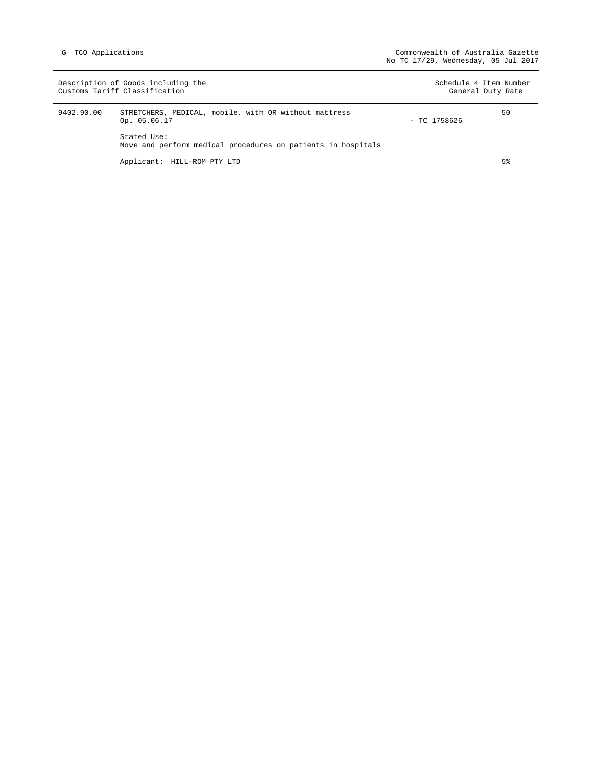|            | Description of Goods including the<br>Customs Tariff Classification         |                | Schedule 4 Item Number<br>General Duty Rate |
|------------|-----------------------------------------------------------------------------|----------------|---------------------------------------------|
| 9402.90.00 | STRETCHERS, MEDICAL, mobile, with OR without mattress<br>Op. 05.06.17       | $-$ TC 1758626 | 50                                          |
|            | Stated Use:<br>Move and perform medical procedures on patients in hospitals |                |                                             |
|            | Applicant: HILL-ROM PTY LTD                                                 |                | 5 <sup>°</sup>                              |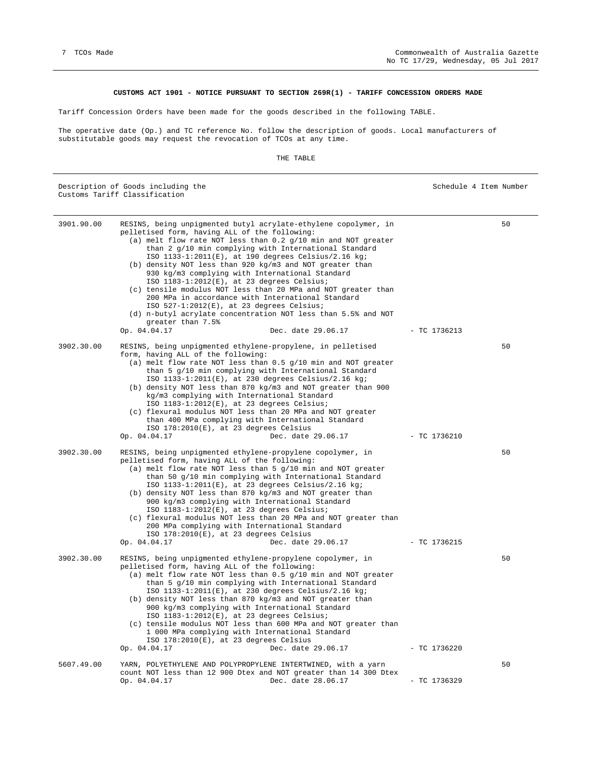#### **CUSTOMS ACT 1901 - NOTICE PURSUANT TO SECTION 269R(1) - TARIFF CONCESSION ORDERS MADE**

Tariff Concession Orders have been made for the goods described in the following TABLE.

The operative date (Op.) and TC reference No. follow the description of goods. Local manufacturers of substitutable goods may request the revocation of TCOs at any time.

THE TABLE

|            | Description of Goods including the<br>Customs Tariff Classification                                                                                                                                                                                                                                                                                                                                                                                                                                                                                                                                                                                                                                                                                                | Schedule 4 Item Number |    |
|------------|--------------------------------------------------------------------------------------------------------------------------------------------------------------------------------------------------------------------------------------------------------------------------------------------------------------------------------------------------------------------------------------------------------------------------------------------------------------------------------------------------------------------------------------------------------------------------------------------------------------------------------------------------------------------------------------------------------------------------------------------------------------------|------------------------|----|
| 3901.90.00 | RESINS, being unpigmented butyl acrylate-ethylene copolymer, in<br>pelletised form, having ALL of the following:<br>(a) melt flow rate NOT less than $0.2$ g/10 min and NOT greater<br>than 2 g/10 min complying with International Standard<br>ISO 1133-1:2011(E), at 190 degrees Celsius/2.16 kg;<br>(b) density NOT less than 920 kg/m3 and NOT greater than<br>930 kg/m3 complying with International Standard<br>ISO 1183-1:2012(E), at 23 degrees Celsius;<br>(c) tensile modulus NOT less than 20 MPa and NOT greater than<br>200 MPa in accordance with International Standard<br>ISO $527-1:2012(E)$ , at 23 degrees Celsius;<br>(d) n-butyl acrylate concentration NOT less than 5.5% and NOT<br>greater than 7.5%<br>Dec. date 29.06.17<br>Op. 04.04.17 | $-$ TC 1736213         | 50 |
| 3902.30.00 | RESINS, being unpigmented ethylene-propylene, in pelletised<br>form, having ALL of the following:<br>(a) melt flow rate NOT less than 0.5 g/10 min and NOT greater<br>than 5 g/10 min complying with International Standard<br>ISO $1133 - 1:2011(E)$ , at 230 degrees Celsius/2.16 kg;<br>(b) density NOT less than 870 kg/m3 and NOT greater than 900<br>kg/m3 complying with International Standard<br>ISO 1183-1:2012(E), at 23 degrees Celsius;<br>(c) flexural modulus NOT less than 20 MPa and NOT greater<br>than 400 MPa complying with International Standard<br>ISO $178:2010(E)$ , at 23 degrees Celsius<br>Op. 04.04.17<br>Dec. date 29.06.17                                                                                                         | $-$ TC 1736210         | 50 |
| 3902.30.00 | RESINS, being unpigmented ethylene-propylene copolymer, in<br>pelletised form, having ALL of the following:<br>(a) melt flow rate NOT less than 5 g/10 min and NOT greater<br>than 50 g/10 min complying with International Standard<br>ISO 1133-1:2011(E), at 23 degrees Celsius/2.16 kg;<br>(b) density NOT less than 870 $kg/m3$ and NOT greater than<br>900 kg/m3 complying with International Standard<br>ISO 1183-1:2012(E), at 23 degrees Celsius;<br>(c) flexural modulus NOT less than 20 MPa and NOT greater than<br>200 MPa complying with International Standard<br>ISO 178:2010(E), at 23 degrees Celsius<br>Op. 04.04.17<br>Dec. date 29.06.17                                                                                                       | $-$ TC 1736215         | 50 |
| 3902.30.00 | RESINS, being unpigmented ethylene-propylene copolymer, in<br>pelletised form, having ALL of the following:<br>(a) melt flow rate NOT less than 0.5 g/10 min and NOT greater<br>than 5 g/10 min complying with International Standard<br>ISO 1133-1:2011(E), at 230 degrees Celsius/2.16 kg;<br>(b) density NOT less than 870 kg/m3 and NOT greater than<br>900 kg/m3 complying with International Standard<br>ISO 1183-1:2012(E), at 23 degrees Celsius;<br>(c) tensile modulus NOT less than 600 MPa and NOT greater than<br>1 000 MPa complying with International Standard<br>ISO 178:2010(E), at 23 degrees Celsius<br>Dec. date 29.06.17<br>Op. 04.04.17                                                                                                     | $-$ TC 1736220         | 50 |
| 5607.49.00 | YARN, POLYETHYLENE AND POLYPROPYLENE INTERTWINED, with a yarn<br>count NOT less than 12 900 Dtex and NOT greater than 14 300 Dtex<br>Op. 04.04.17<br>Dec. date 28.06.17                                                                                                                                                                                                                                                                                                                                                                                                                                                                                                                                                                                            | $-$ TC 1736329         | 50 |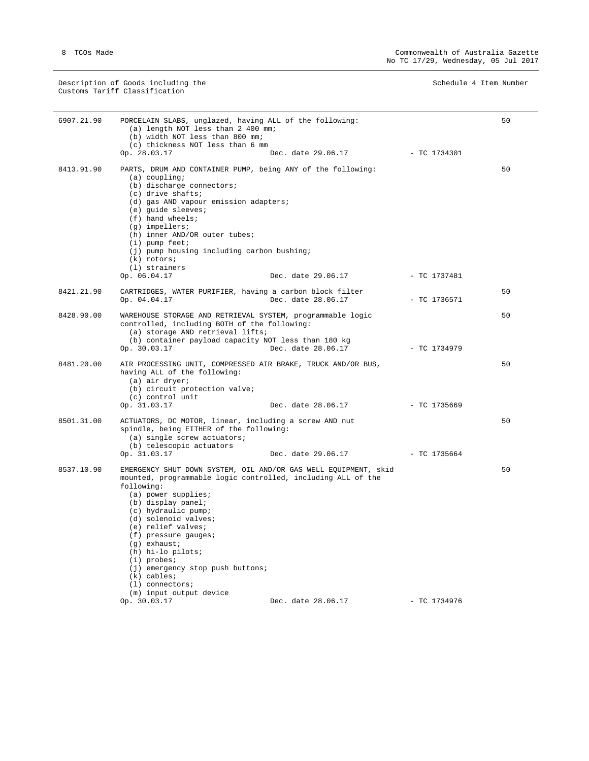Description of Goods including the Schedule 4 Item Number Schedule 4 Item Number Customs Tariff Classification

| 6907.21.90 | PORCELAIN SLABS, unglazed, having ALL of the following:<br>(a) length NOT less than 2 400 mm;<br>(b) width NOT less than 800 mm;<br>(c) thickness NOT less than 6 mm                                                                                                                                                                                                                                                                                 |                    |                | 50 |
|------------|------------------------------------------------------------------------------------------------------------------------------------------------------------------------------------------------------------------------------------------------------------------------------------------------------------------------------------------------------------------------------------------------------------------------------------------------------|--------------------|----------------|----|
|            | Op. 28.03.17                                                                                                                                                                                                                                                                                                                                                                                                                                         | Dec. date 29.06.17 | - TC 1734301   |    |
| 8413.91.90 | PARTS, DRUM AND CONTAINER PUMP, being ANY of the following:<br>$(a)$ coupling;<br>(b) discharge connectors;<br>(c) drive shafts;<br>(d) gas AND vapour emission adapters;<br>(e) guide sleeves;<br>$(f)$ hand wheels;<br>$(g)$ impellers;<br>(h) inner AND/OR outer tubes;<br>$(i)$ pump feet;<br>(j) pump housing including carbon bushing;<br>$(k)$ rotors;                                                                                        |                    |                | 50 |
|            | (1) strainers<br>Op. 06.04.17                                                                                                                                                                                                                                                                                                                                                                                                                        | Dec. date 29.06.17 | - TC 1737481   |    |
| 8421.21.90 | CARTRIDGES, WATER PURIFIER, having a carbon block filter<br>Op. 04.04.17                                                                                                                                                                                                                                                                                                                                                                             | Dec. date 28.06.17 | $-$ TC 1736571 | 50 |
| 8428.90.00 | WAREHOUSE STORAGE AND RETRIEVAL SYSTEM, programmable logic<br>controlled, including BOTH of the following:<br>(a) storage AND retrieval lifts;<br>(b) container payload capacity NOT less than 180 kg<br>Op. 30.03.17                                                                                                                                                                                                                                | Dec. date 28.06.17 | - TC 1734979   | 50 |
| 8481.20.00 | AIR PROCESSING UNIT, COMPRESSED AIR BRAKE, TRUCK AND/OR BUS,<br>having ALL of the following:<br>(a) air dryer;<br>(b) circuit protection valve;<br>(c) control unit                                                                                                                                                                                                                                                                                  |                    |                | 50 |
|            | Op. 31.03.17                                                                                                                                                                                                                                                                                                                                                                                                                                         | Dec. date 28.06.17 | - TC 1735669   |    |
| 8501.31.00 | ACTUATORS, DC MOTOR, linear, including a screw AND nut<br>spindle, being EITHER of the following:<br>(a) single screw actuators;<br>(b) telescopic actuators<br>Op. 31.03.17                                                                                                                                                                                                                                                                         | Dec. date 29.06.17 | $-$ TC 1735664 | 50 |
| 8537.10.90 | EMERGENCY SHUT DOWN SYSTEM, OIL AND/OR GAS WELL EQUIPMENT, skid<br>mounted, programmable logic controlled, including ALL of the<br>following:<br>(a) power supplies;<br>(b) display panel;<br>(c) hydraulic pump;<br>(d) solenoid valves;<br>(e) relief valves;<br>(f) pressure gauges;<br>$(g)$ exhaust;<br>(h) hi-lo pilots;<br>$(i)$ probes;<br>(j) emergency stop push buttons;<br>$(k)$ cables;<br>$(1)$ connectors;<br>(m) input output device |                    |                | 50 |
|            | Op. 30.03.17                                                                                                                                                                                                                                                                                                                                                                                                                                         | Dec. date 28.06.17 | $-$ TC 1734976 |    |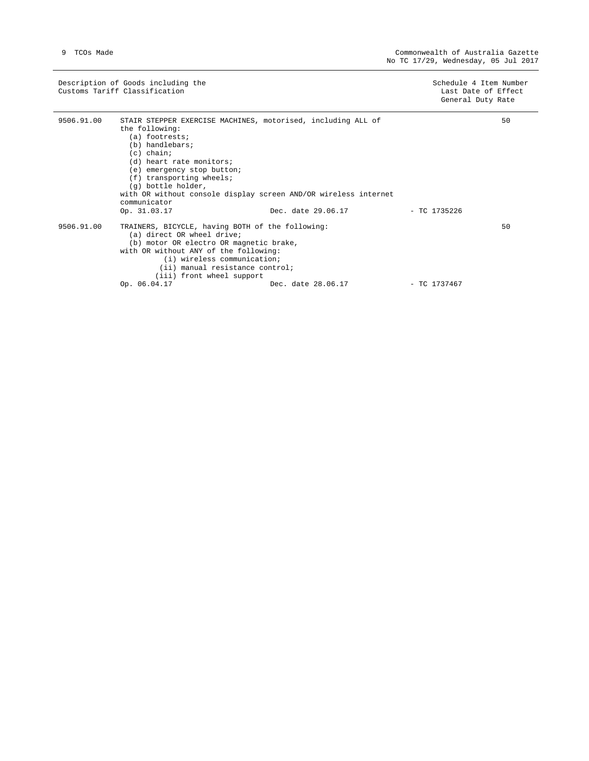Description of Goods including the Schedule 4 Item Number Schedule 4 Item Number Customs Tariff Classification Last Date of Effect

General Duty Rate

| 9506.91.00 | STAIR STEPPER EXERCISE MACHINES, motorised, including ALL of<br>the following:<br>(a) footrests;<br>(b) handlebars;<br>$(c)$ chain;<br>(d) heart rate monitors;<br>(e) emergency stop button;<br>$(f)$ transporting wheels;<br>(q) bottle holder,<br>with OR without console display screen AND/OR wireless internet<br>communicator |                    |              | 50 |
|------------|--------------------------------------------------------------------------------------------------------------------------------------------------------------------------------------------------------------------------------------------------------------------------------------------------------------------------------------|--------------------|--------------|----|
|            | Op. 31.03.17                                                                                                                                                                                                                                                                                                                         | Dec. date 29.06.17 | - TC 1735226 |    |
| 9506.91.00 | TRAINERS, BICYCLE, having BOTH of the following:<br>(a) direct OR wheel drive;<br>(b) motor OR electro OR magnetic brake,<br>with OR without ANY of the following:<br>(i) wireless communication;<br>(ii) manual resistance control;<br>(iii) front wheel support<br>Op. 06.04.17                                                    | Dec. date 28.06.17 | - TC 1737467 | 50 |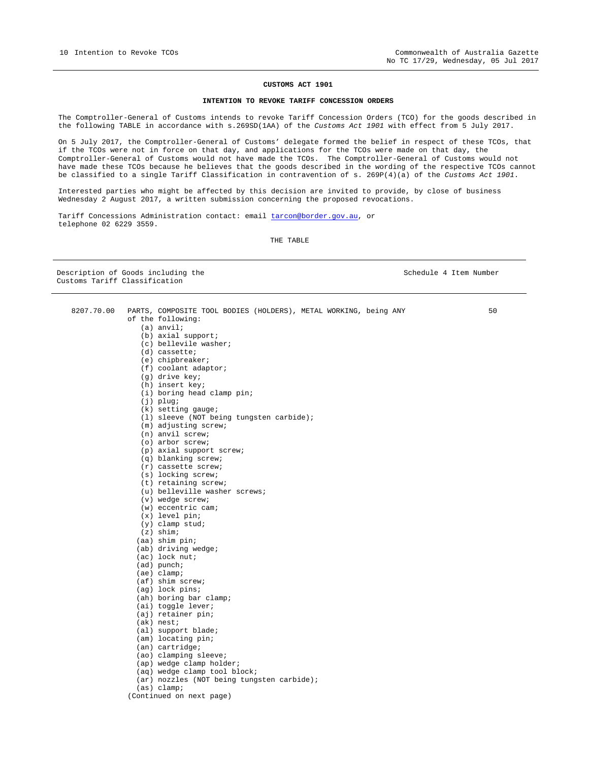#### **CUSTOMS ACT 1901**

#### **INTENTION TO REVOKE TARIFF CONCESSION ORDERS**

The Comptroller-General of Customs intends to revoke Tariff Concession Orders (TCO) for the goods described in the following TABLE in accordance with s.269SD(1AA) of the *Customs Act 1901* with effect from 5 July 2017.

On 5 July 2017, the Comptroller-General of Customs' delegate formed the belief in respect of these TCOs, that if the TCOs were not in force on that day, and applications for the TCOs were made on that day, the Comptroller-General of Customs would not have made the TCOs. The Comptroller-General of Customs would not have made these TCOs because he believes that the goods described in the wording of the respective TCOs cannot be classified to a single Tariff Classification in contravention of s. 269P(4)(a) of the *Customs Act 1901*.

Interested parties who might be affected by this decision are invited to provide, by close of business Wednesday 2 August 2017, a written submission concerning the proposed revocations.

Tariff Concessions Administration contact: email tarcon@border.gov.au, or telephone 02 6229 3559.

8207.70.00 PARTS, COMPOSITE TOOL BODIES (HOLDERS), METAL WORKING, being ANY

THE TABLE

Description of Goods including the Schedule 4 Item Number Customs Tariff Classification

50

of the following: (a) anvil; (b) axial support; (c) bellevile washer; (d) cassette; (e) chipbreaker; (f) coolant adaptor; (g) drive key; (h) insert key; (i) boring head clamp pin; (j) plug; (k) setting gauge; (l) sleeve (NOT being tungsten carbide); (m) adjusting screw; (n) anvil screw; (o) arbor screw; (p) axial support screw; (q) blanking screw; (r) cassette screw; (s) locking screw; (t) retaining screw; (u) belleville washer screws; (v) wedge screw; (w) eccentric cam; (x) level pin; (y) clamp stud; (z) shim; (aa) shim pin; (ab) driving wedge; (ac) lock nut; (ad) punch; (ae) clamp; (af) shim screw; (ag) lock pins; (ah) boring bar clamp; (ai) toggle lever; (aj) retainer pin; (ak) nest; (al) support blade; (am) locating pin; (an) cartridge; (ao) clamping sleeve; (ap) wedge clamp holder; (aq) wedge clamp tool block; (ar) nozzles (NOT being tungsten carbide); (as) clamp;

(Continued on next page)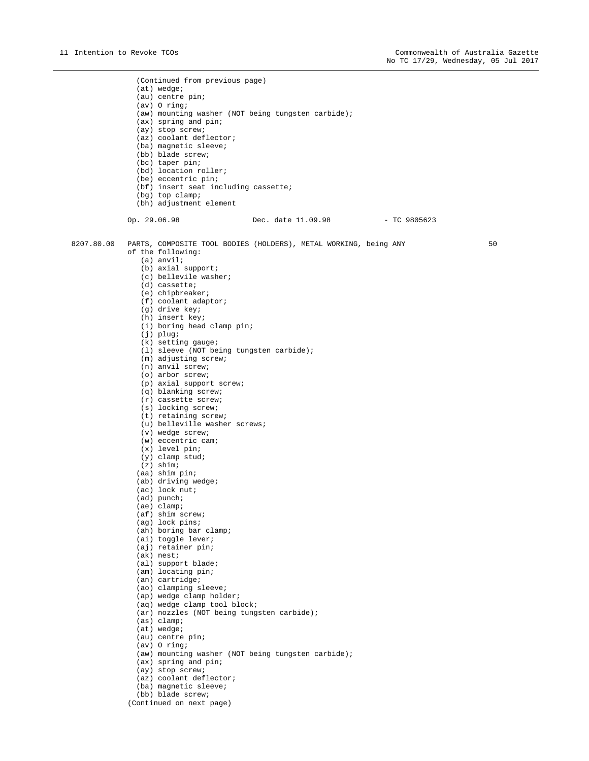(Continued from previous page) (at) wedge; (au) centre pin; (av) O ring; (aw) mounting washer (NOT being tungsten carbide); (ax) spring and pin; (ay) stop screw; (az) coolant deflector; (ba) magnetic sleeve; (bb) blade screw; (bc) taper pin; (bd) location roller; (be) eccentric pin; (bf) insert seat including cassette; (bg) top clamp; (bh) adjustment element Op. 29.06.98 Dec. date 11.09.98 - TC 9805623 8207.80.00 PARTS, COMPOSITE TOOL BODIES (HOLDERS), METAL WORKING, being ANY of the following: (a) anvil; (b) axial support; (c) bellevile washer; (d) cassette; (e) chipbreaker; (f) coolant adaptor; (g) drive key; (h) insert key; (i) boring head clamp pin; (j) plug; (k) setting gauge; (l) sleeve (NOT being tungsten carbide); (m) adjusting screw; (n) anvil screw; (o) arbor screw; (p) axial support screw; (q) blanking screw; (r) cassette screw; (s) locking screw; (t) retaining screw; (u) belleville washer screws; (v) wedge screw; (w) eccentric cam; (x) level pin; (y) clamp stud; (z) shim; (aa) shim pin; (ab) driving wedge; (ac) lock nut; (ad) punch; (ae) clamp; (af) shim screw; (ag) lock pins; (ah) boring bar clamp; (ai) toggle lever; (aj) retainer pin; (ak) nest; (al) support blade; (am) locating pin; (an) cartridge; (ao) clamping sleeve; (ap) wedge clamp holder; (aq) wedge clamp tool block; (ar) nozzles (NOT being tungsten carbide); (as) clamp; (at) wedge; (au) centre pin; (av) O ring; (aw) mounting washer (NOT being tungsten carbide); (ax) spring and pin; (ay) stop screw; (az) coolant deflector; (ba) magnetic sleeve; (bb) blade screw; 50

(Continued on next page)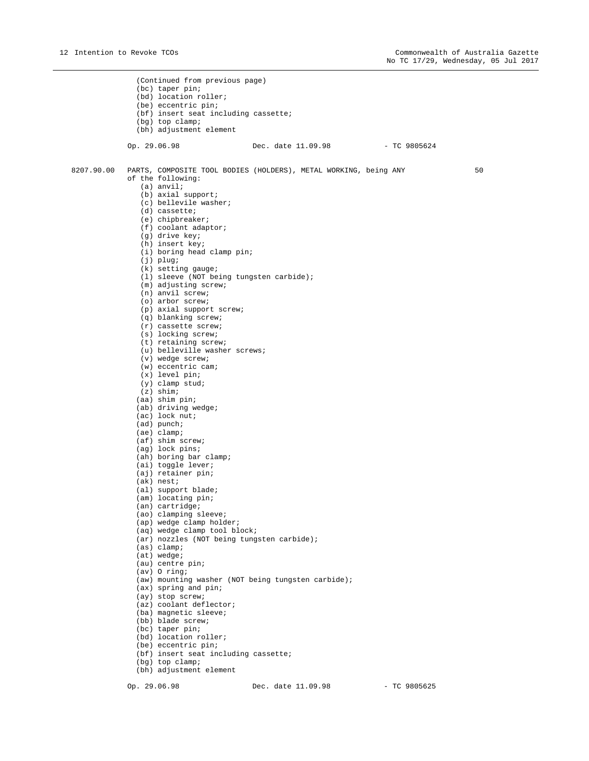(Continued from previous page) (bc) taper pin; (bd) location roller; (be) eccentric pin; (bf) insert seat including cassette; (bg) top clamp; (bh) adjustment element Op. 29.06.98 Dec. date 11.09.98 - TC 9805624 8207.90.00 PARTS, COMPOSITE TOOL BODIES (HOLDERS), METAL WORKING, being ANY 50 of the following: (a) anvil; (b) axial support; (c) bellevile washer; (d) cassette; (e) chipbreaker; (f) coolant adaptor; (g) drive key; (h) insert key; (i) boring head clamp pin; (j) plug; (k) setting gauge; (l) sleeve (NOT being tungsten carbide); (m) adjusting screw; (n) anvil screw; (o) arbor screw; (p) axial support screw; (q) blanking screw; (r) cassette screw; (s) locking screw; (t) retaining screw; (u) belleville washer screws; (v) wedge screw; (w) eccentric cam; (x) level pin; (y) clamp stud;  $(z)$  shim; (aa) shim pin; (ab) driving wedge; (ac) lock nut; (ad) punch; (ae) clamp; (af) shim screw; (ag) lock pins; (ah) boring bar clamp; (ai) toggle lever; (aj) retainer pin; (ak) nest; (al) support blade; (am) locating pin; (an) cartridge; (ao) clamping sleeve; (ap) wedge clamp holder; (aq) wedge clamp tool block; (ar) nozzles (NOT being tungsten carbide); (as) clamp; (at) wedge; (au) centre pin; (av) O ring; (aw) mounting washer (NOT being tungsten carbide); (ax) spring and pin; (ay) stop screw; (az) coolant deflector; (ba) magnetic sleeve; (bb) blade screw; (bc) taper pin; (bd) location roller; (be) eccentric pin; (bf) insert seat including cassette; (bg) top clamp; (bh) adjustment element

Op. 29.06.98 Dec. date 11.09.98 - TC 9805625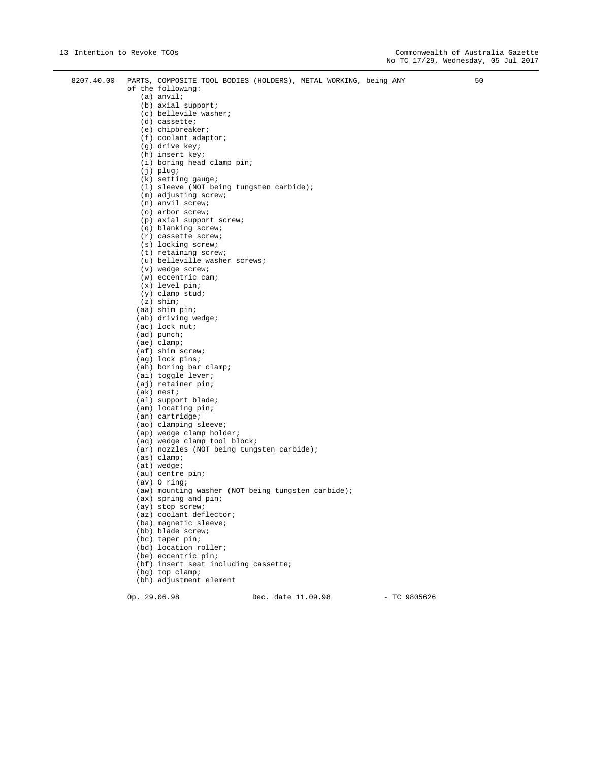| 8207.40.00 | PARTS, COMPOSITE TOOL BODIES (HOLDERS), METAL WORKING, being ANY<br>of the following:<br>$(a)$ anvil;<br>$(b)$ axial support; | 50 |
|------------|-------------------------------------------------------------------------------------------------------------------------------|----|
|            | (c) bellevile washer;                                                                                                         |    |
|            | $(d)$ cassette;                                                                                                               |    |
|            | (e) chipbreaker;                                                                                                              |    |
|            | $(f)$ coolant adaptor;                                                                                                        |    |
|            | (g) drive key;                                                                                                                |    |
|            | (h) insert key;                                                                                                               |    |
|            | (i) boring head clamp pin;                                                                                                    |    |
|            | $(j)$ plug;<br>$(k)$ setting gauge;                                                                                           |    |
|            | (1) sleeve (NOT being tungsten carbide);                                                                                      |    |
|            | $(m)$ adjusting screw;                                                                                                        |    |
|            | $(n)$ anvil screw;                                                                                                            |    |
|            | (o) arbor screw;                                                                                                              |    |
|            | (p) axial support screw;                                                                                                      |    |
|            | (q) blanking screw;                                                                                                           |    |
|            | $(r)$ cassette screw;<br>(s) locking screw;                                                                                   |    |
|            | (t) retaining screw;                                                                                                          |    |
|            | (u) belleville washer screws;                                                                                                 |    |
|            | $(v)$ wedge screw;                                                                                                            |    |
|            | $(w)$ eccentric cam;                                                                                                          |    |
|            | $(x)$ level pin;                                                                                                              |    |
|            | $(y)$ clamp stud;                                                                                                             |    |
|            | $(z)$ shim;<br>(aa) shim pin;                                                                                                 |    |
|            | (ab) driving wedge;                                                                                                           |    |
|            | $(ac)$ lock nut;                                                                                                              |    |
|            | (ad) punch;                                                                                                                   |    |
|            | $(ae)$ clamp;                                                                                                                 |    |
|            | (af) shim screw;                                                                                                              |    |
|            | (ag) lock pins;                                                                                                               |    |
|            | (ah) boring bar clamp;<br>(ai) toggle lever;                                                                                  |    |
|            | (aj) retainer pin;                                                                                                            |    |
|            | $(ak)$ nest;                                                                                                                  |    |
|            | (al) support blade;                                                                                                           |    |
|            | (am) locating pin;                                                                                                            |    |
|            | (an) cartridge;                                                                                                               |    |
|            | (ao) clamping sleeve;                                                                                                         |    |
|            | (ap) wedge clamp holder;<br>(aq) wedge clamp tool block;                                                                      |    |
|            | (ar) nozzles (NOT being tungsten carbide);                                                                                    |    |
|            | (as) clamp;                                                                                                                   |    |
|            | (at) wedge;                                                                                                                   |    |
|            | (au) centre pin;                                                                                                              |    |
|            | $(av)$ O ring;                                                                                                                |    |
|            | (aw) mounting washer (NOT being tungsten carbide);                                                                            |    |
|            | $(ax)$ spring and pin;                                                                                                        |    |
|            | (ay) stop screw;<br>(az) coolant deflector;                                                                                   |    |
|            | (ba) magnetic sleeve;                                                                                                         |    |
|            | (bb) blade screw;                                                                                                             |    |
|            | (bc) taper pin;                                                                                                               |    |
|            | (bd) location roller;                                                                                                         |    |
|            | (be) eccentric pin;                                                                                                           |    |
|            | (bf) insert seat including cassette;                                                                                          |    |
|            | (bg) top clamp;                                                                                                               |    |

(bh) adjustment element

Op. 29.06.98 Dec. date 11.09.98 - TC 9805626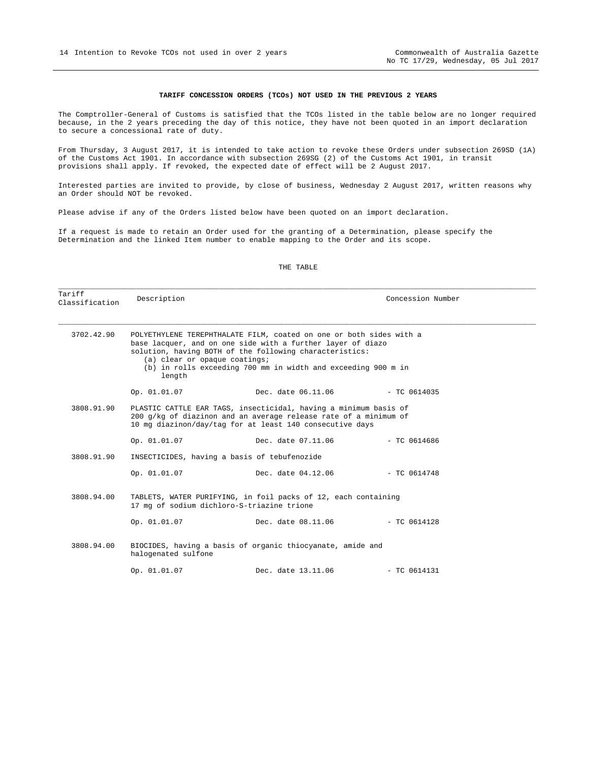#### **TARIFF CONCESSION ORDERS (TCOs) NOT USED IN THE PREVIOUS 2 YEARS**

The Comptroller-General of Customs is satisfied that the TCOs listed in the table below are no longer required because, in the 2 years preceding the day of this notice, they have not been quoted in an import declaration to secure a concessional rate of duty.

From Thursday, 3 August 2017, it is intended to take action to revoke these Orders under subsection 269SD (1A) of the Customs Act 1901. In accordance with subsection 269SG (2) of the Customs Act 1901, in transit provisions shall apply. If revoked, the expected date of effect will be 2 August 2017.

Interested parties are invited to provide, by close of business, Wednesday 2 August 2017, written reasons why an Order should NOT be revoked.

Please advise if any of the Orders listed below have been quoted on an import declaration.

If a request is made to retain an Order used for the granting of a Determination, please specify the Determination and the linked Item number to enable mapping to the Order and its scope.

#### THE TABLE

| Tariff<br>Classification                                                                                                                                                                                         | Description                                  |                                                                                                                                                                                                                                                                | Concession Number |  |
|------------------------------------------------------------------------------------------------------------------------------------------------------------------------------------------------------------------|----------------------------------------------|----------------------------------------------------------------------------------------------------------------------------------------------------------------------------------------------------------------------------------------------------------------|-------------------|--|
| 3702.42.90                                                                                                                                                                                                       | (a) clear or opaque coatings;<br>length      | POLYETHYLENE TEREPHTHALATE FILM, coated on one or both sides with a<br>base lacquer, and on one side with a further layer of diazo<br>solution, having BOTH of the following characteristics:<br>(b) in rolls exceeding 700 mm in width and exceeding 900 m in |                   |  |
|                                                                                                                                                                                                                  |                                              | Op. 01.01.07 Dec. date 06.11.06 - TC 0614035                                                                                                                                                                                                                   |                   |  |
| 3808.91.90<br>PLASTIC CATTLE EAR TAGS, insecticidal, having a minimum basis of<br>$200$ q/kq of diazinon and an average release rate of a minimum of<br>10 mg diazinon/day/tag for at least 140 consecutive days |                                              |                                                                                                                                                                                                                                                                |                   |  |
|                                                                                                                                                                                                                  | Op. 01.01.07                                 | Dec. date 07.11.06 - TC 0614686                                                                                                                                                                                                                                |                   |  |
| 3808.91.90                                                                                                                                                                                                       | INSECTICIDES, having a basis of tebufenozide |                                                                                                                                                                                                                                                                |                   |  |
|                                                                                                                                                                                                                  | Op. 01.01.07                                 | Dec. date 04.12.06                                                                                                                                                                                                                                             | $-$ TC 0614748    |  |
| 3808.94.00                                                                                                                                                                                                       | 17 mg of sodium dichloro-S-triazine trione   | TABLETS, WATER PURIFYING, in foil packs of 12, each containing                                                                                                                                                                                                 |                   |  |
|                                                                                                                                                                                                                  |                                              | Op. 01.01.07 Dec. date 08.11.06 - TC 0614128                                                                                                                                                                                                                   |                   |  |
| 3808.94.00                                                                                                                                                                                                       | halogenated sulfone                          | BIOCIDES, having a basis of organic thiocyanate, amide and                                                                                                                                                                                                     |                   |  |
|                                                                                                                                                                                                                  | Op. 01.01.07                                 | Dec. date 13.11.06                                                                                                                                                                                                                                             | $-$ TC 0614131    |  |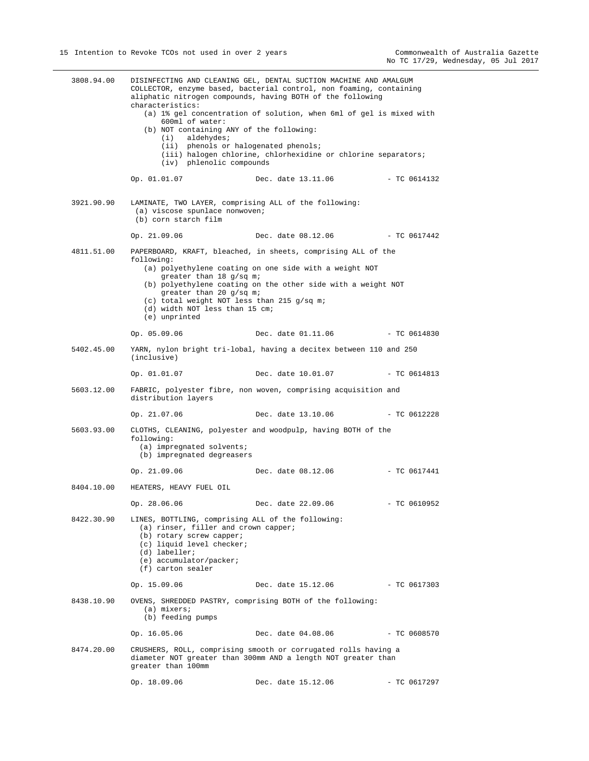| 3808.94.00 | DISINFECTING AND CLEANING GEL, DENTAL SUCTION MACHINE AND AMALGUM<br>COLLECTOR, enzyme based, bacterial control, non foaming, containing<br>aliphatic nitrogen compounds, having BOTH of the following<br>characteristics:<br>(a) 1% gel concentration of solution, when 6ml of gel is mixed with<br>600ml of water:<br>(b) NOT containing ANY of the following:<br>$(i)$ aldehydes;<br>(ii) phenols or halogenated phenols;<br>(iii) halogen chlorine, chlorhexidine or chlorine separators;<br>(iv) phlenolic compounds |                                                                                                                                                                                         |                |  |
|------------|---------------------------------------------------------------------------------------------------------------------------------------------------------------------------------------------------------------------------------------------------------------------------------------------------------------------------------------------------------------------------------------------------------------------------------------------------------------------------------------------------------------------------|-----------------------------------------------------------------------------------------------------------------------------------------------------------------------------------------|----------------|--|
|            | Op. 01.01.07                                                                                                                                                                                                                                                                                                                                                                                                                                                                                                              | Dec. date 13.11.06                                                                                                                                                                      | - TC 0614132   |  |
| 3921.90.90 | LAMINATE, TWO LAYER, comprising ALL of the following:<br>(a) viscose spunlace nonwoven;<br>(b) corn starch film                                                                                                                                                                                                                                                                                                                                                                                                           |                                                                                                                                                                                         |                |  |
|            | Op. 21.09.06                                                                                                                                                                                                                                                                                                                                                                                                                                                                                                              | Dec. date 08.12.06 - TC 0617442                                                                                                                                                         |                |  |
| 4811.51.00 | following:<br>greater than 18 g/sq m;<br>greater than 20 g/sq m;<br>(c) total weight NOT less than 215 g/sq m;<br>(d) width NOT less than 15 cm;<br>(e) unprinted                                                                                                                                                                                                                                                                                                                                                         | PAPERBOARD, KRAFT, bleached, in sheets, comprising ALL of the<br>(a) polyethylene coating on one side with a weight NOT<br>(b) polyethylene coating on the other side with a weight NOT |                |  |
|            | Op. 05.09.06                                                                                                                                                                                                                                                                                                                                                                                                                                                                                                              | Dec. date 01.11.06                                                                                                                                                                      | - TC 0614830   |  |
| 5402.45.00 | (inclusive)                                                                                                                                                                                                                                                                                                                                                                                                                                                                                                               | YARN, nylon bright tri-lobal, having a decitex between 110 and 250                                                                                                                      |                |  |
|            | Op. 01.01.07                                                                                                                                                                                                                                                                                                                                                                                                                                                                                                              | Dec. date 10.01.07                                                                                                                                                                      | $- TC 0614813$ |  |
| 5603.12.00 | distribution layers                                                                                                                                                                                                                                                                                                                                                                                                                                                                                                       | FABRIC, polyester fibre, non woven, comprising acquisition and                                                                                                                          |                |  |
|            | Op. 21.07.06                                                                                                                                                                                                                                                                                                                                                                                                                                                                                                              | Dec. date 13.10.06                                                                                                                                                                      | - TC 0612228   |  |
| 5603.93.00 | following:<br>(a) impregnated solvents;<br>(b) impregnated degreasers                                                                                                                                                                                                                                                                                                                                                                                                                                                     | CLOTHS, CLEANING, polyester and woodpulp, having BOTH of the                                                                                                                            |                |  |
|            | Op. 21.09.06                                                                                                                                                                                                                                                                                                                                                                                                                                                                                                              | Dec. date 08.12.06                                                                                                                                                                      | - TC 0617441   |  |
|            | 8404.10.00 HEATERS, HEAVY FUEL OIL                                                                                                                                                                                                                                                                                                                                                                                                                                                                                        |                                                                                                                                                                                         |                |  |
|            | Op. 28.06.06                                                                                                                                                                                                                                                                                                                                                                                                                                                                                                              | Dec. date 22.09.06                                                                                                                                                                      | $-$ TC 0610952 |  |
| 8422.30.90 | LINES, BOTTLING, comprising ALL of the following:<br>(a) rinser, filler and crown capper;<br>(b) rotary screw capper;<br>(c) liquid level checker;<br>(d) labeller;<br>(e) accumulator/packer;<br>(f) carton sealer                                                                                                                                                                                                                                                                                                       |                                                                                                                                                                                         |                |  |
|            | Op. 15.09.06                                                                                                                                                                                                                                                                                                                                                                                                                                                                                                              | Dec. date 15.12.06 - TC 0617303                                                                                                                                                         |                |  |
| 8438.10.90 | (a) mixers;<br>(b) feeding pumps                                                                                                                                                                                                                                                                                                                                                                                                                                                                                          | OVENS, SHREDDED PASTRY, comprising BOTH of the following:                                                                                                                               |                |  |
|            | Op. 16.05.06                                                                                                                                                                                                                                                                                                                                                                                                                                                                                                              | Dec. date 04.08.06                                                                                                                                                                      | - TC 0608570   |  |
| 8474.20.00 | greater than 100mm                                                                                                                                                                                                                                                                                                                                                                                                                                                                                                        | CRUSHERS, ROLL, comprising smooth or corrugated rolls having a<br>diameter NOT greater than 300mm AND a length NOT greater than                                                         |                |  |
|            | Op. 18.09.06                                                                                                                                                                                                                                                                                                                                                                                                                                                                                                              | Dec. date 15.12.06                                                                                                                                                                      | $-$ TC 0617297 |  |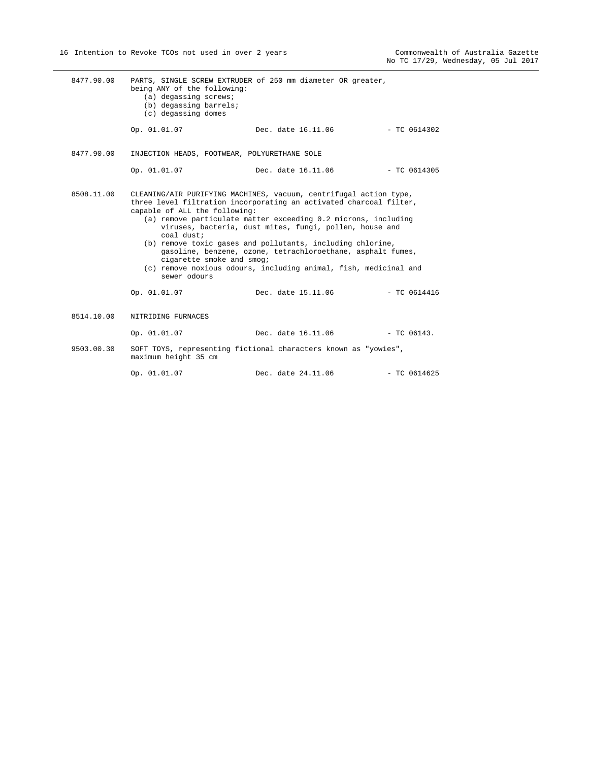| 8477.90.00 | being ANY of the following:<br>(a) degassing screws;<br>(b) degassing barrels;<br>(c) degassing domes    | PARTS, SINGLE SCREW EXTRUDER of 250 mm diameter OR greater,                                                                                                                                                                                                                                                                                                                                                                                                                                 |                |
|------------|----------------------------------------------------------------------------------------------------------|---------------------------------------------------------------------------------------------------------------------------------------------------------------------------------------------------------------------------------------------------------------------------------------------------------------------------------------------------------------------------------------------------------------------------------------------------------------------------------------------|----------------|
|            | Op. 01.01.07                                                                                             | Dec. date 16.11.06                                                                                                                                                                                                                                                                                                                                                                                                                                                                          | $-$ TC 0614302 |
| 8477.90.00 | INJECTION HEADS, FOOTWEAR, POLYURETHANE SOLE                                                             |                                                                                                                                                                                                                                                                                                                                                                                                                                                                                             |                |
|            | Op. 01.01.07                                                                                             | Dec. date 16.11.06                                                                                                                                                                                                                                                                                                                                                                                                                                                                          | - TC 0614305   |
| 8508.11.00 | capable of ALL the following:<br>coal dust;<br>cigarette smoke and smog;<br>sewer odours<br>Op. 01.01.07 | CLEANING/AIR PURIFYING MACHINES, vacuum, centrifugal action type,<br>three level filtration incorporating an activated charcoal filter,<br>(a) remove particulate matter exceeding 0.2 microns, including<br>viruses, bacteria, dust mites, fungi, pollen, house and<br>(b) remove toxic gases and pollutants, including chlorine,<br>gasoline, benzene, ozone, tetrachloroethane, asphalt fumes,<br>(c) remove noxious odours, including animal, fish, medicinal and<br>Dec. date 15.11.06 | - TC 0614416   |
| 8514.10.00 | NITRIDING FURNACES                                                                                       |                                                                                                                                                                                                                                                                                                                                                                                                                                                                                             |                |
|            | Op. 01.01.07                                                                                             | Dec. date 16.11.06 - TC 06143.                                                                                                                                                                                                                                                                                                                                                                                                                                                              |                |
| 9503.00.30 | maximum height 35 cm                                                                                     | SOFT TOYS, representing fictional characters known as "yowies",                                                                                                                                                                                                                                                                                                                                                                                                                             |                |
|            | Op. 01.01.07                                                                                             | Dec. date 24.11.06                                                                                                                                                                                                                                                                                                                                                                                                                                                                          | $-$ TC 0614625 |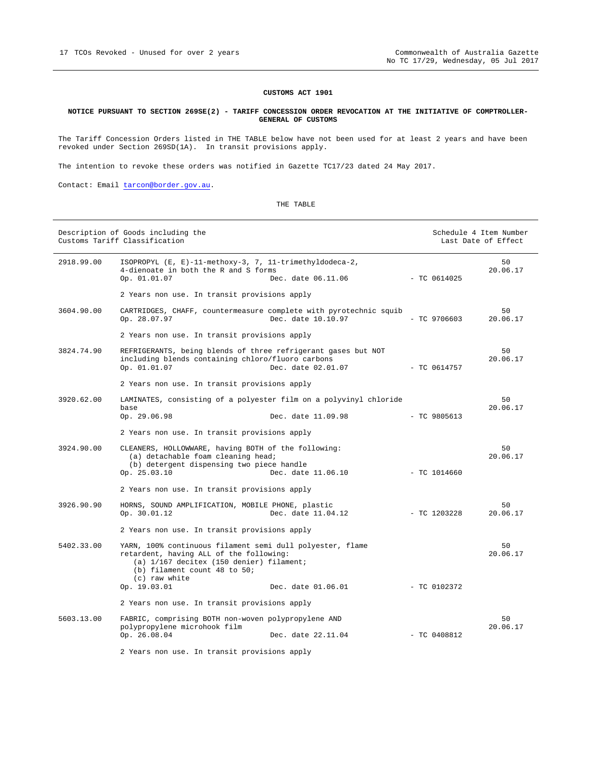#### **CUSTOMS ACT 1901**

#### **NOTICE PURSUANT TO SECTION 269SE(2) - TARIFF CONCESSION ORDER REVOCATION AT THE INITIATIVE OF COMPTROLLER-GENERAL OF CUSTOMS**

The Tariff Concession Orders listed in THE TABLE below have not been used for at least 2 years and have been revoked under Section 269SD(1A). In transit provisions apply.

The intention to revoke these orders was notified in Gazette TC17/23 dated 24 May 2017.

Contact: Email tarcon@border.gov.au.

#### THE TABLE

|            | Description of Goods including the<br>Customs Tariff Classification                                                                                                                               |                    |  | Schedule 4 Item Number<br>Last Date of Effect |                |
|------------|---------------------------------------------------------------------------------------------------------------------------------------------------------------------------------------------------|--------------------|--|-----------------------------------------------|----------------|
| 2918.99.00 | ISOPROPYL (E, E)-11-methoxy-3, 7, 11-trimethyldodeca-2,<br>4-dienoate in both the R and S forms<br>Op. 01.01.07                                                                                   | Dec. date 06.11.06 |  | $-$ TC 0614025                                | 50<br>20.06.17 |
|            | 2 Years non use. In transit provisions apply                                                                                                                                                      |                    |  |                                               |                |
| 3604.90.00 | CARTRIDGES, CHAFF, countermeasure complete with pyrotechnic squib<br>Op. 28.07.97                                                                                                                 | Dec. date 10.10.97 |  | $-$ TC 9706603                                | 50<br>20.06.17 |
|            | 2 Years non use. In transit provisions apply                                                                                                                                                      |                    |  |                                               |                |
| 3824.74.90 | REFRIGERANTS, being blends of three refrigerant gases but NOT<br>including blends containing chloro/fluoro carbons<br>Op. 01.01.07                                                                | Dec. date 02.01.07 |  | - TC 0614757                                  | 50<br>20.06.17 |
|            | 2 Years non use. In transit provisions apply                                                                                                                                                      |                    |  |                                               |                |
| 3920.62.00 | LAMINATES, consisting of a polyester film on a polyvinyl chloride<br>base<br>Op. 29.06.98                                                                                                         | Dec. date 11.09.98 |  | $-$ TC 9805613                                | 50<br>20.06.17 |
|            | 2 Years non use. In transit provisions apply                                                                                                                                                      |                    |  |                                               |                |
| 3924.90.00 | CLEANERS, HOLLOWWARE, having BOTH of the following:<br>(a) detachable foam cleaning head;<br>(b) detergent dispensing two piece handle<br>Op. 25.03.10                                            | Dec. date 11.06.10 |  | $-$ TC 1014660                                | 50<br>20.06.17 |
|            | 2 Years non use. In transit provisions apply                                                                                                                                                      |                    |  |                                               |                |
| 3926.90.90 | HORNS, SOUND AMPLIFICATION, MOBILE PHONE, plastic<br>Op. 30.01.12                                                                                                                                 | Dec. date 11.04.12 |  | $-$ TC 1203228                                | 50<br>20.06.17 |
|            | 2 Years non use. In transit provisions apply                                                                                                                                                      |                    |  |                                               |                |
| 5402.33.00 | YARN, 100% continuous filament semi dull polyester, flame<br>retardent, having ALL of the following:<br>(a) 1/167 decitex (150 denier) filament;<br>(b) filament count 48 to 50;<br>(c) raw white |                    |  |                                               | 50<br>20.06.17 |
|            | Op. 19.03.01                                                                                                                                                                                      | Dec. date 01.06.01 |  | $-$ TC 0102372                                |                |
|            | 2 Years non use. In transit provisions apply                                                                                                                                                      |                    |  |                                               |                |
| 5603.13.00 | FABRIC, comprising BOTH non-woven polypropylene AND<br>polypropylene microhook film                                                                                                               |                    |  |                                               | 50<br>20.06.17 |
|            | Op. 26.08.04                                                                                                                                                                                      | Dec. date 22.11.04 |  | $-$ TC 0408812                                |                |
|            |                                                                                                                                                                                                   |                    |  |                                               |                |

2 Years non use. In transit provisions apply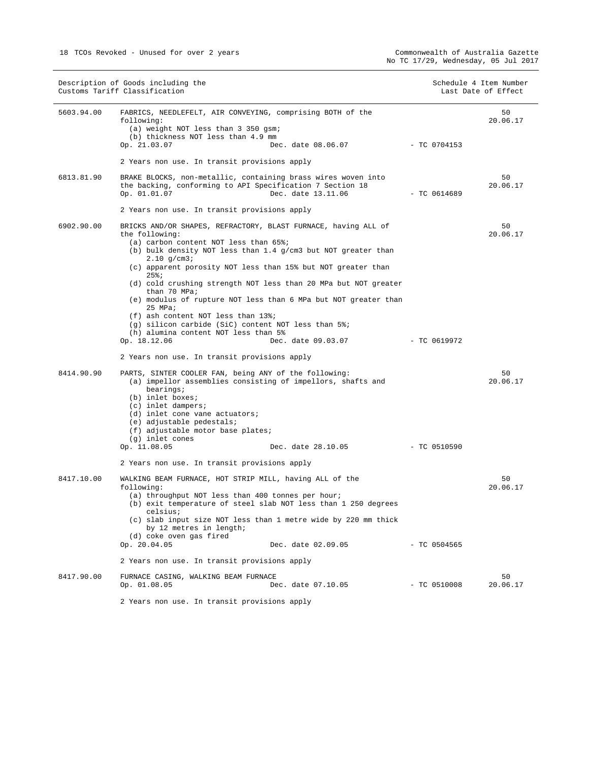|            | Description of Goods including the<br>Customs Tariff Classification                                                             |                    |                | Schedule 4 Item Number<br>Last Date of Effect |
|------------|---------------------------------------------------------------------------------------------------------------------------------|--------------------|----------------|-----------------------------------------------|
| 5603.94.00 | FABRICS, NEEDLEFELT, AIR CONVEYING, comprising BOTH of the<br>following:                                                        |                    |                | 50<br>20.06.17                                |
|            | (a) weight NOT less than 3 350 gsm;                                                                                             |                    |                |                                               |
|            | (b) thickness NOT less than 4.9 mm<br>Op. 21.03.07                                                                              | Dec. date 08.06.07 | - TC 0704153   |                                               |
|            | 2 Years non use. In transit provisions apply                                                                                    |                    |                |                                               |
| 6813.81.90 | BRAKE BLOCKS, non-metallic, containing brass wires woven into                                                                   |                    |                | 50                                            |
|            | the backing, conforming to API Specification 7 Section 18<br>Op. 01.01.07                                                       | Dec. date 13.11.06 | - TC 0614689   | 20.06.17                                      |
|            | 2 Years non use. In transit provisions apply                                                                                    |                    |                |                                               |
| 6902.90.00 | BRICKS AND/OR SHAPES, REFRACTORY, BLAST FURNACE, having ALL of                                                                  |                    |                | 50                                            |
|            | the following:<br>(a) carbon content NOT less than 65%;                                                                         |                    |                | 20.06.17                                      |
|            | (b) bulk density NOT less than $1.4$ g/cm3 but NOT greater than<br>$2.10$ g/cm3;                                                |                    |                |                                               |
|            | (c) apparent porosity NOT less than 15% but NOT greater than<br>25%;                                                            |                    |                |                                               |
|            | (d) cold crushing strength NOT less than 20 MPa but NOT greater<br>than 70 MPa;                                                 |                    |                |                                               |
|            | (e) modulus of rupture NOT less than 6 MPa but NOT greater than<br>25 MPa;                                                      |                    |                |                                               |
|            | $(f)$ ash content NOT less than 13%;                                                                                            |                    |                |                                               |
|            | (q) silicon carbide (SiC) content NOT less than 5%;<br>(h) alumina content NOT less than 5%                                     |                    |                |                                               |
|            | Op. 18.12.06                                                                                                                    | Dec. date 09.03.07 | - TC 0619972   |                                               |
|            | 2 Years non use. In transit provisions apply                                                                                    |                    |                |                                               |
| 8414.90.90 | PARTS, SINTER COOLER FAN, being ANY of the following:<br>(a) impellor assemblies consisting of impellors, shafts and            |                    |                | 50<br>20.06.17                                |
|            | bearings;<br>(b) inlet boxes;                                                                                                   |                    |                |                                               |
|            | (c) inlet dampers;                                                                                                              |                    |                |                                               |
|            | (d) inlet cone vane actuators;<br>(e) adjustable pedestals;                                                                     |                    |                |                                               |
|            | (f) adjustable motor base plates;                                                                                               |                    |                |                                               |
|            | (g) inlet cones                                                                                                                 |                    |                |                                               |
|            | Op. 11.08.05                                                                                                                    | Dec. date 28.10.05 | $-$ TC 0510590 |                                               |
|            | 2 Years non use. In transit provisions apply                                                                                    |                    |                |                                               |
| 8417.10.00 | WALKING BEAM FURNACE, HOT STRIP MILL, having ALL of the<br>following:                                                           |                    |                | 50<br>20.06.17                                |
|            | (a) throughput NOT less than 400 tonnes per hour;<br>(b) exit temperature of steel slab NOT less than 1 250 degrees<br>celsius; |                    |                |                                               |
|            | (c) slab input size NOT less than 1 metre wide by 220 mm thick<br>by 12 metres in length;                                       |                    |                |                                               |
|            | (d) coke oven gas fired<br>Op. 20.04.05                                                                                         | Dec. date 02.09.05 | $-$ TC 0504565 |                                               |
|            | 2 Years non use. In transit provisions apply                                                                                    |                    |                |                                               |
| 8417.90.00 | FURNACE CASING, WALKING BEAM FURNACE                                                                                            |                    |                | 50                                            |
|            | Op. 01.08.05                                                                                                                    | Dec. date 07.10.05 | $-$ TC 0510008 | 20.06.17                                      |
|            |                                                                                                                                 |                    |                |                                               |

2 Years non use. In transit provisions apply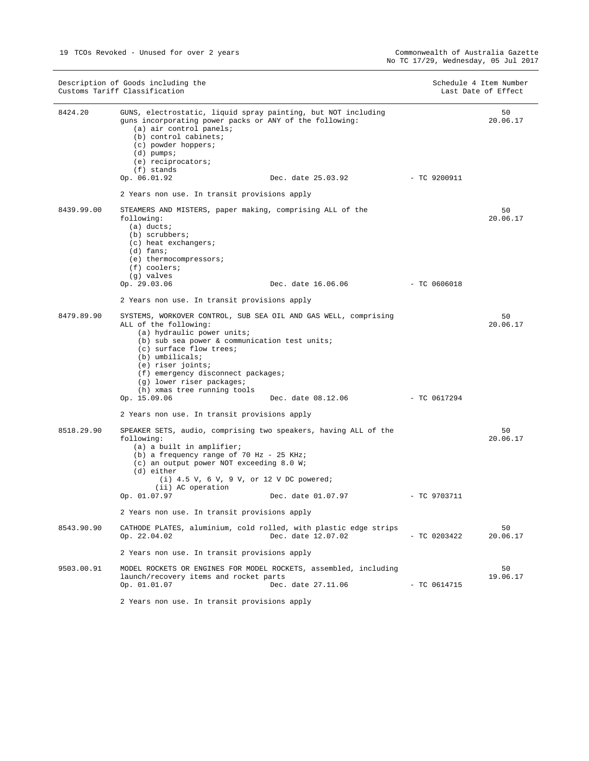|            | Description of Goods including the<br>Customs Tariff Classification                                                                                                                                                                                                                                                                                                                |                | Schedule 4 Item Number<br>Last Date of Effect |
|------------|------------------------------------------------------------------------------------------------------------------------------------------------------------------------------------------------------------------------------------------------------------------------------------------------------------------------------------------------------------------------------------|----------------|-----------------------------------------------|
| 8424.20    | GUNS, electrostatic, liquid spray painting, but NOT including<br>guns incorporating power packs or ANY of the following:<br>(a) air control panels;<br>(b) control cabinets;<br>(c) powder hoppers;<br>$(d)$ pumps;<br>(e) reciprocators;<br>$(f)$ stands                                                                                                                          |                | 50<br>20.06.17                                |
|            | Op. 06.01.92<br>Dec. date 25.03.92                                                                                                                                                                                                                                                                                                                                                 | $-$ TC 9200911 |                                               |
|            | 2 Years non use. In transit provisions apply                                                                                                                                                                                                                                                                                                                                       |                |                                               |
| 8439.99.00 | STEAMERS AND MISTERS, paper making, comprising ALL of the<br>following:<br>$(a)$ ducts;<br>$(b)$ scrubbers;<br>(c) heat exchangers;<br>$(d)$ fans;<br>(e) thermocompressors;<br>$(f)$ coolers;<br>(g) valves                                                                                                                                                                       |                | 50<br>20.06.17                                |
|            | Op. 29.03.06<br>Dec. date 16.06.06                                                                                                                                                                                                                                                                                                                                                 | $-TC0606018$   |                                               |
|            | 2 Years non use. In transit provisions apply                                                                                                                                                                                                                                                                                                                                       |                |                                               |
| 8479.89.90 | SYSTEMS, WORKOVER CONTROL, SUB SEA OIL AND GAS WELL, comprising<br>ALL of the following:<br>(a) hydraulic power units;<br>(b) sub sea power & communication test units;<br>(c) surface flow trees;<br>(b) umbilicals;<br>(e) riser joints;<br>(f) emergency disconnect packages;<br>(g) lower riser packages;<br>(h) xmas tree running tools<br>Op. 15.09.06<br>Dec. date 08.12.06 | $-$ TC 0617294 | 50<br>20.06.17                                |
|            | 2 Years non use. In transit provisions apply                                                                                                                                                                                                                                                                                                                                       |                |                                               |
| 8518.29.90 | SPEAKER SETS, audio, comprising two speakers, having ALL of the<br>following:<br>(a) a built in amplifier;<br>(b) a frequency range of 70 Hz - 25 KHz;<br>(c) an output power NOT exceeding 8.0 W;<br>(d) either<br>$(i)$ 4.5 V, 6 V, 9 V, or 12 V DC powered;<br>(ii) AC operation                                                                                                |                | 50<br>20.06.17                                |
|            | Op. 01.07.97<br>Dec. date 01.07.97                                                                                                                                                                                                                                                                                                                                                 | $-$ TC 9703711 |                                               |
|            | 2 Years non use. In transit provisions apply                                                                                                                                                                                                                                                                                                                                       |                |                                               |
| 8543.90.90 | CATHODE PLATES, aluminium, cold rolled, with plastic edge strips<br>Op. 22.04.02<br>Dec. date 12.07.02                                                                                                                                                                                                                                                                             | $-$ TC 0203422 | 50<br>20.06.17                                |
|            | 2 Years non use. In transit provisions apply                                                                                                                                                                                                                                                                                                                                       |                |                                               |
| 9503.00.91 | MODEL ROCKETS OR ENGINES FOR MODEL ROCKETS, assembled, including<br>launch/recovery items and rocket parts<br>Op. 01.01.07<br>Dec. date 27.11.06                                                                                                                                                                                                                                   | $-$ TC 0614715 | 50<br>19.06.17                                |
|            | 2 Years non use. In transit provisions apply                                                                                                                                                                                                                                                                                                                                       |                |                                               |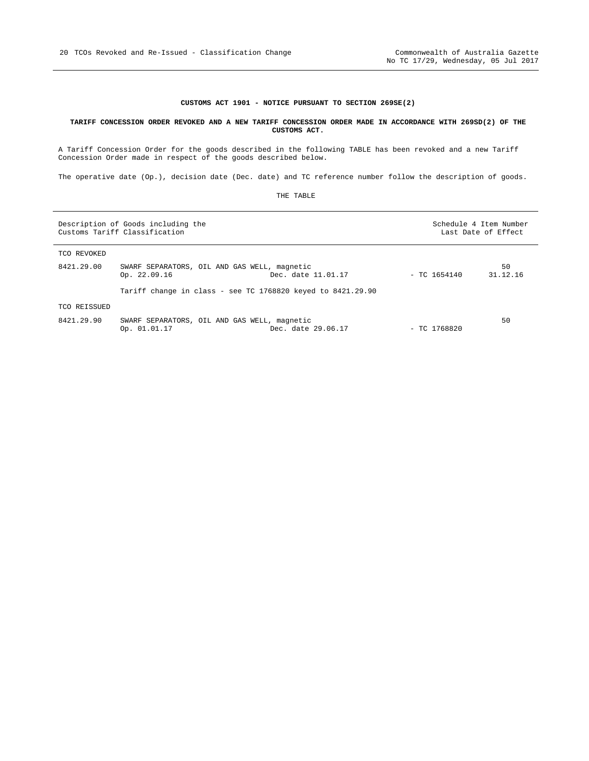#### **CUSTOMS ACT 1901 - NOTICE PURSUANT TO SECTION 269SE(2)**

#### **TARIFF CONCESSION ORDER REVOKED AND A NEW TARIFF CONCESSION ORDER MADE IN ACCORDANCE WITH 269SD(2) OF THE CUSTOMS ACT.**

A Tariff Concession Order for the goods described in the following TABLE has been revoked and a new Tariff Concession Order made in respect of the goods described below.

The operative date (Op.), decision date (Dec. date) and TC reference number follow the description of goods.

| THE | TARLE |
|-----|-------|
|-----|-------|

| Description of Goods including the<br>Customs Tariff Classification |                                                              |                    | Schedule 4 Item Number<br>Last Date of Effect |                |
|---------------------------------------------------------------------|--------------------------------------------------------------|--------------------|-----------------------------------------------|----------------|
| TCO REVOKED                                                         |                                                              |                    |                                               |                |
| 8421.29.00                                                          | SWARF SEPARATORS, OIL AND GAS WELL, magnetic<br>Op. 22.09.16 | Dec. date 11.01.17 | $-$ TC 1654140                                | 50<br>31.12.16 |
|                                                                     | Tariff change in class - see TC 1768820 keyed to 8421.29.90  |                    |                                               |                |
| TCO REISSUED                                                        |                                                              |                    |                                               |                |
| 8421.29.90                                                          | SWARF SEPARATORS, OIL AND GAS WELL, magnetic<br>Op. 01.01.17 | Dec. date 29.06.17 | $-$ TC 1768820                                | 50             |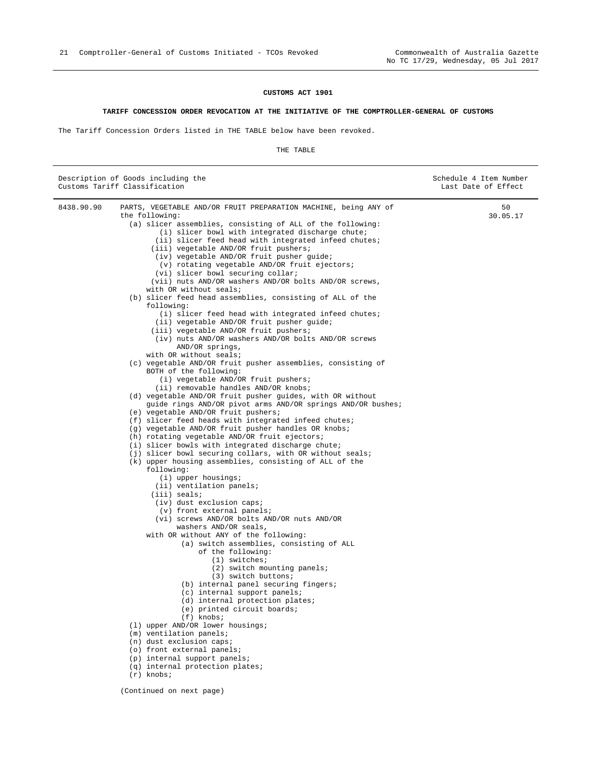#### **CUSTOMS ACT 1901**

#### **TARIFF CONCESSION ORDER REVOCATION AT THE INITIATIVE OF THE COMPTROLLER-GENERAL OF CUSTOMS**

The Tariff Concession Orders listed in THE TABLE below have been revoked.

#### THE TABLE

|            | Description of Goods including the<br>Customs Tariff Classification                                                                                                                                                                                                                                                                                                                                                                                                                                                                                                                                                                                                                                                                                                                                                                                                                                                                                                                                                                                                                                                                                                                                                                                                                                                                                                                                                                                                                                                                                                                                                                                                                                                                                                                                                                                                                                                                                                                                                                                                                                                                                                                                                                                                                                                             | Schedule 4 Item Number<br>Last Date of Effect |
|------------|---------------------------------------------------------------------------------------------------------------------------------------------------------------------------------------------------------------------------------------------------------------------------------------------------------------------------------------------------------------------------------------------------------------------------------------------------------------------------------------------------------------------------------------------------------------------------------------------------------------------------------------------------------------------------------------------------------------------------------------------------------------------------------------------------------------------------------------------------------------------------------------------------------------------------------------------------------------------------------------------------------------------------------------------------------------------------------------------------------------------------------------------------------------------------------------------------------------------------------------------------------------------------------------------------------------------------------------------------------------------------------------------------------------------------------------------------------------------------------------------------------------------------------------------------------------------------------------------------------------------------------------------------------------------------------------------------------------------------------------------------------------------------------------------------------------------------------------------------------------------------------------------------------------------------------------------------------------------------------------------------------------------------------------------------------------------------------------------------------------------------------------------------------------------------------------------------------------------------------------------------------------------------------------------------------------------------------|-----------------------------------------------|
| 8438.90.90 | PARTS, VEGETABLE AND/OR FRUIT PREPARATION MACHINE, being ANY of<br>the following:<br>(a) slicer assemblies, consisting of ALL of the following:<br>(i) slicer bowl with integrated discharge chute;<br>(ii) slicer feed head with integrated infeed chutes;<br>(iii) vegetable AND/OR fruit pushers;<br>(iv) vegetable AND/OR fruit pusher guide;<br>(v) rotating vegetable AND/OR fruit ejectors;<br>(vi) slicer bowl securing collar;<br>(vii) nuts AND/OR washers AND/OR bolts AND/OR screws,<br>with OR without seals;<br>(b) slicer feed head assemblies, consisting of ALL of the<br>following:<br>(i) slicer feed head with integrated infeed chutes;<br>(ii) vegetable AND/OR fruit pusher guide;<br>(iii) vegetable AND/OR fruit pushers;<br>(iv) nuts AND/OR washers AND/OR bolts AND/OR screws<br>AND/OR springs,<br>with OR without seals;<br>(c) vegetable AND/OR fruit pusher assemblies, consisting of<br>BOTH of the following:<br>(i) vegetable AND/OR fruit pushers;<br>(ii) removable handles AND/OR knobs;<br>(d) vegetable AND/OR fruit pusher quides, with OR without<br>guide rings AND/OR pivot arms AND/OR springs AND/OR bushes;<br>(e) vegetable AND/OR fruit pushers;<br>(f) slicer feed heads with integrated infeed chutes;<br>(q) vegetable AND/OR fruit pusher handles OR knobs;<br>(h) rotating vegetable AND/OR fruit ejectors;<br>(i) slicer bowls with integrated discharge chute;<br>(j) slicer bowl securing collars, with OR without seals;<br>(k) upper housing assemblies, consisting of ALL of the<br>following:<br>$(i)$ upper housings;<br>(ii) ventilation panels;<br>$(iii)$ seals;<br>(iv) dust exclusion caps;<br>(v) front external panels;<br>(vi) screws AND/OR bolts AND/OR nuts AND/OR<br>washers AND/OR seals,<br>with OR without ANY of the following:<br>(a) switch assemblies, consisting of ALL<br>of the following:<br>$(1)$ switches;<br>(2) switch mounting panels;<br>(3) switch buttons;<br>(b) internal panel securing fingers;<br>(c) internal support panels;<br>(d) internal protection plates;<br>(e) printed circuit boards;<br>$(f)$ knobs;<br>(1) upper AND/OR lower housings;<br>$(m)$ ventilation panels;<br>(n) dust exclusion caps;<br>(o) front external panels;<br>(p) internal support panels;<br>(q) internal protection plates;<br>$(r)$ knobs; | 50<br>30.05.17                                |
|            | (Continued on next page)                                                                                                                                                                                                                                                                                                                                                                                                                                                                                                                                                                                                                                                                                                                                                                                                                                                                                                                                                                                                                                                                                                                                                                                                                                                                                                                                                                                                                                                                                                                                                                                                                                                                                                                                                                                                                                                                                                                                                                                                                                                                                                                                                                                                                                                                                                        |                                               |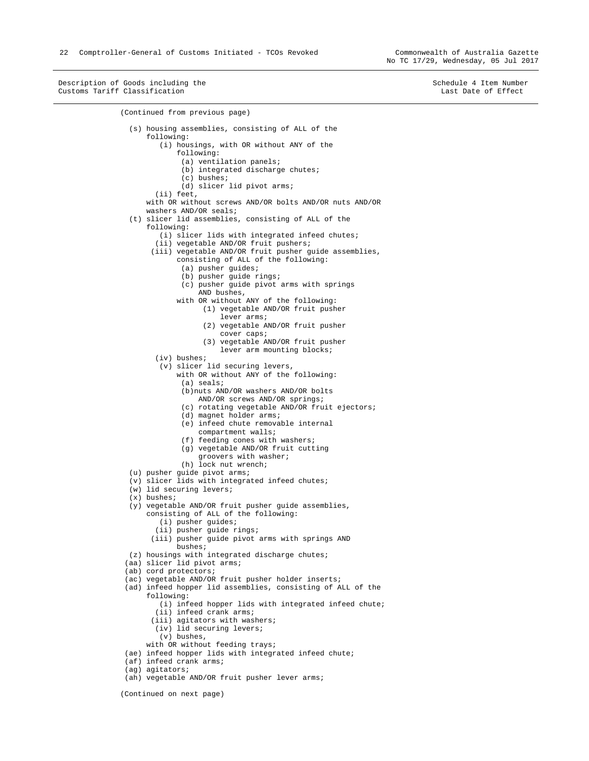Description of Goods including the Schedule 4 Item Number (Schedule 4 Item Number Customs Tariff Classification Customs Tariff Classification

```
(Continued from previous page) 
   (s) housing assemblies, consisting of ALL of the 
       following: 
          (i) housings, with OR without ANY of the 
              following: 
               (a) ventilation panels; 
               (b) integrated discharge chutes;
               (c) bushes; 
               (d) slicer lid pivot arms; 
         (ii) feet, 
       with OR without screws AND/OR bolts AND/OR nuts AND/OR 
       washers AND/OR seals; 
   (t) slicer lid assemblies, consisting of ALL of the 
       following: 
          (i) slicer lids with integrated infeed chutes; 
         (ii) vegetable AND/OR fruit pushers; 
        (iii) vegetable AND/OR fruit pusher guide assemblies, 
               consisting of ALL of the following: 
                (a) pusher guides; 
                (b) pusher guide rings; 
               (c) pusher guide pivot arms with springs 
                    AND bushes, 
               with OR without ANY of the following: 
                     (1) vegetable AND/OR fruit pusher 
                         lever arms; 
                     (2) vegetable AND/OR fruit pusher 
                         cover caps; 
                     (3) vegetable AND/OR fruit pusher 
                        lever arm mounting blocks;
         (iv) bushes; 
          (v) slicer lid securing levers, 
              with OR without ANY of the following: 
                (a) seals; 
                (b)nuts AND/OR washers AND/OR bolts 
                    AND/OR screws AND/OR springs; 
                (c) rotating vegetable AND/OR fruit ejectors; 
                (d) magnet holder arms; 
               (e) infeed chute removable internal 
                    compartment walls; 
                (f) feeding cones with washers; 
                (g) vegetable AND/OR fruit cutting 
                    groovers with washer; 
              (h) lock nut wrench;
   (u) pusher guide pivot arms; 
   (v) slicer lids with integrated infeed chutes; 
   (w) lid securing levers; 
   (x) bushes; 
  (y) vegetable AND/OR fruit pusher guide assemblies, 
       consisting of ALL of the following: 
          (i) pusher guides; 
         (ii) pusher guide rings; 
        (iii) pusher guide pivot arms with springs AND 
              bushes; 
   (z) housings with integrated discharge chutes; 
  (aa) slicer lid pivot arms; 
  (ab) cord protectors; 
  (ac) vegetable AND/OR fruit pusher holder inserts; 
  (ad) infeed hopper lid assemblies, consisting of ALL of the 
       following: 
          (i) infeed hopper lids with integrated infeed chute; 
         (ii) infeed crank arms; 
        (iii) agitators with washers; 
         (iv) lid securing levers; 
          (v) bushes, 
      with OR without feeding trays;
  (ae) infeed hopper lids with integrated infeed chute; 
 (af) infeed crank arms;
  (ag) agitators;
```
(Continued on next page)

<sup>(</sup>ah) vegetable AND/OR fruit pusher lever arms;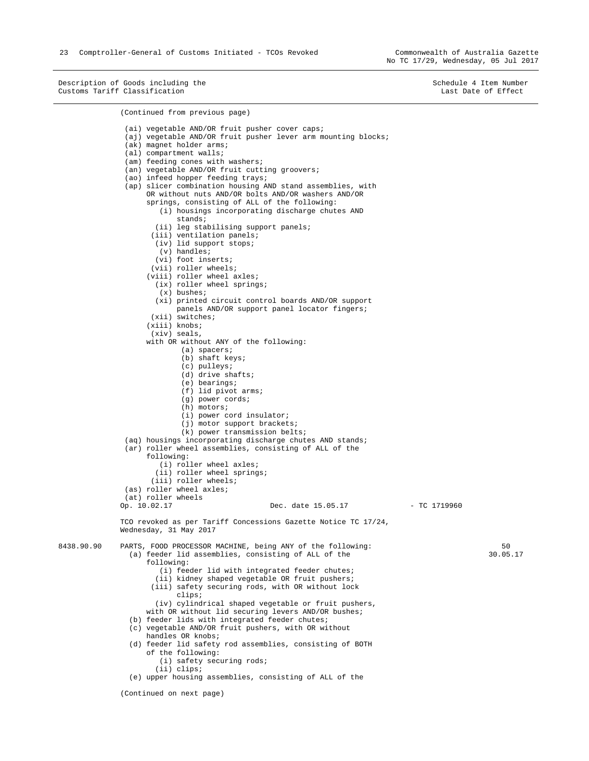Description of Goods including the Schedule 4 Item Number (Schedule 4 Item Number Customs Tariff Classification Customs Tariff Classification

(Continued from previous page) (ai) vegetable AND/OR fruit pusher cover caps; (aj) vegetable AND/OR fruit pusher lever arm mounting blocks; (ak) magnet holder arms; (al) compartment walls; (am) feeding cones with washers; (an) vegetable AND/OR fruit cutting groovers; (ao) infeed hopper feeding trays; (ap) slicer combination housing AND stand assemblies, with OR without nuts AND/OR bolts AND/OR washers AND/OR springs, consisting of ALL of the following: (i) housings incorporating discharge chutes AND stands; (ii) leg stabilising support panels; (iii) ventilation panels; (iv) lid support stops; (v) handles; (vi) foot inserts; (vii) roller wheels; (viii) roller wheel axles; (ix) roller wheel springs; (x) bushes; (xi) printed circuit control boards AND/OR support panels AND/OR support panel locator fingers; (xii) switches; (xiii) knobs; (xiv) seals, with OR without ANY of the following: (a) spacers; (b) shaft keys; (c) pulleys; (d) drive shafts; (e) bearings; (f) lid pivot arms; (g) power cords; (h) motors; (i) power cord insulator; (j) motor support brackets; (k) power transmission belts; (aq) housings incorporating discharge chutes AND stands; (ar) roller wheel assemblies, consisting of ALL of the following: (i) roller wheel axles; (ii) roller wheel springs; (iii) roller wheels; (as) roller wheel axles;  $(at)$  roller wheels<br>Op.  $10.02.17$ Dec. date 15.05.17 - TC 1719960 TCO revoked as per Tariff Concessions Gazette Notice TC 17/24, Wednesday, 31 May 2017 8438.90.90 PARTS, FOOD PROCESSOR MACHINE, being ANY of the following: (a) feeder lid assemblies, consisting of ALL of the following: (i) feeder lid with integrated feeder chutes; (ii) kidney shaped vegetable OR fruit pushers; (iii) safety securing rods, with OR without lock clips; (iv) cylindrical shaped vegetable or fruit pushers, with OR without lid securing levers AND/OR bushes; (b) feeder lids with integrated feeder chutes; (c) vegetable AND/OR fruit pushers, with OR without handles OR knobs; (d) feeder lid safety rod assemblies, consisting of BOTH of the following: (i) safety securing rods; 50 30.05.17

(ii) clips;

(e) upper housing assemblies, consisting of ALL of the

(Continued on next page)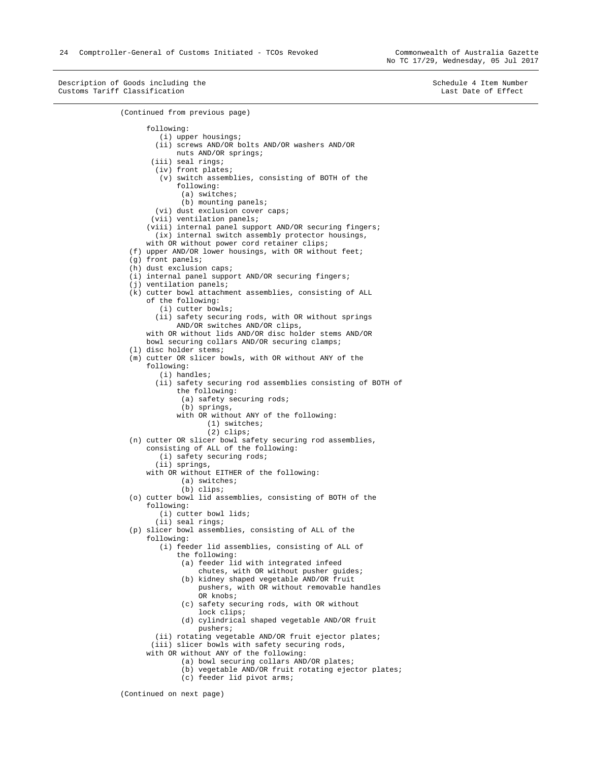Description of Goods including the Schedule 4 Item Number (Schedule 4 Item Number Customs Tariff Classification Customs Tariff Classification (Continued from previous page) following: (i) upper housings; (ii) screws AND/OR bolts AND/OR washers AND/OR nuts AND/OR springs; (iii) seal rings; (iv) front plates; (v) switch assemblies, consisting of BOTH of the following: (a) switches; (b) mounting panels; (vi) dust exclusion cover caps; (vii) ventilation panels; (viii) internal panel support AND/OR securing fingers; (ix) internal switch assembly protector housings, with OR without power cord retainer clips; (f) upper AND/OR lower housings, with OR without feet; (g) front panels; (h) dust exclusion caps; (i) internal panel support AND/OR securing fingers; (j) ventilation panels; (k) cutter bowl attachment assemblies, consisting of ALL of the following: (i) cutter bowls; (ii) safety securing rods, with OR without springs AND/OR switches AND/OR clips, with OR without lids AND/OR disc holder stems AND/OR bowl securing collars AND/OR securing clamps; (l) disc holder stems; (m) cutter OR slicer bowls, with OR without ANY of the following: (i) handles; (ii) safety securing rod assemblies consisting of BOTH of the following: (a) safety securing rods; (b) springs, with OR without ANY of the following: (1) switches; (2) clips; (n) cutter OR slicer bowl safety securing rod assemblies, consisting of ALL of the following: (i) safety securing rods; (ii) springs, with OR without EITHER of the following: (a) switches; (b) clips; (o) cutter bowl lid assemblies, consisting of BOTH of the following: (i) cutter bowl lids; (ii) seal rings; (p) slicer bowl assemblies, consisting of ALL of the following: (i) feeder lid assemblies, consisting of ALL of the following: (a) feeder lid with integrated infeed chutes, with OR without pusher guides; (b) kidney shaped vegetable AND/OR fruit pushers, with OR without removable handles OR knobs; (c) safety securing rods, with OR without lock clips; (d) cylindrical shaped vegetable AND/OR fruit pushers; (ii) rotating vegetable AND/OR fruit ejector plates; (iii) slicer bowls with safety securing rods, with OR without ANY of the following: (a) bowl securing collars AND/OR plates; (b) vegetable AND/OR fruit rotating ejector plates; (c) feeder lid pivot arms; (Continued on next page)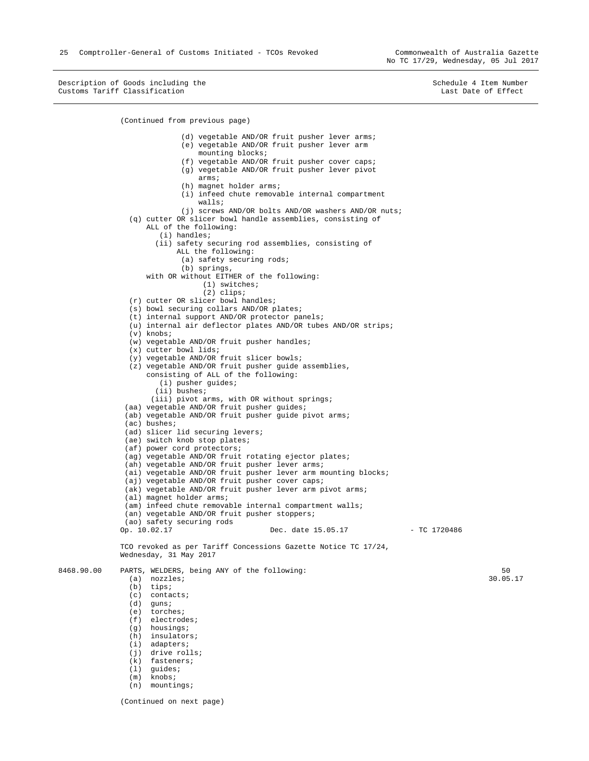25 Comptroller-General of Customs Initiated - TCOs Revoked Commonwealth of Australia Gazette

No TC 17/29, Wednesday, 05 Jul 2017

Description of Goods including the Schedule 4 Item Number (Schedule 4 Item Number Customs Tariff Classification Customs Tariff Classification

```
(Continued from previous page) 
                               (d) vegetable AND/OR fruit pusher lever arms; 
                               (e) vegetable AND/OR fruit pusher lever arm 
                                   mounting blocks; 
                               (f) vegetable AND/OR fruit pusher cover caps; 
                               (g) vegetable AND/OR fruit pusher lever pivot 
                                   arms; 
                               (h) magnet holder arms; 
                               (i) infeed chute removable internal compartment 
                                   walls; 
                               (j) screws AND/OR bolts AND/OR washers AND/OR nuts; 
                  (q) cutter OR slicer bowl handle assemblies, consisting of 
                      ALL of the following: 
                         (i) handles; 
                        (ii) safety securing rod assemblies, consisting of 
                             ALL the following: 
                               (a) safety securing rods; 
                               (b) springs, 
                      with OR without EITHER of the following: 
                                    (1) switches; 
                                    (2) clips; 
                  (r) cutter OR slicer bowl handles; 
                  (s) bowl securing collars AND/OR plates; 
                  (t) internal support AND/OR protector panels; 
                  (u) internal air deflector plates AND/OR tubes AND/OR strips; 
                 (y) knobs;
                  (w) vegetable AND/OR fruit pusher handles; 
                  (x) cutter bowl lids; 
                  (y) vegetable AND/OR fruit slicer bowls; 
                  (z) vegetable AND/OR fruit pusher guide assemblies, 
                      consisting of ALL of the following: 
                         (i) pusher guides; 
                        (ii) bushes; 
                       (iii) pivot arms, with OR without springs; 
                 (aa) vegetable AND/OR fruit pusher guides; 
                (ab) vegetable AND/OR fruit pusher guide pivot arms;
                 (ac) bushes; 
                (ad) slicer lid securing levers;
                (ae) switch knob stop plates;
                 (af) power cord protectors; 
                 (ag) vegetable AND/OR fruit rotating ejector plates; 
                 (ah) vegetable AND/OR fruit pusher lever arms; 
                (ai) vegetable AND/OR fruit pusher lever arm mounting blocks;
                 (aj) vegetable AND/OR fruit pusher cover caps; 
                (ak) vegetable AND/OR fruit pusher lever arm pivot arms;
                 (al) magnet holder arms; 
                 (am) infeed chute removable internal compartment walls; 
                 (an) vegetable AND/OR fruit pusher stoppers; 
               (ao) safety securing rods<br>Op. 10.02.17
                                                   Dec. date 15.05.17 - TC 1720486
               TCO revoked as per Tariff Concessions Gazette Notice TC 17/24, 
              Wednesday, 31 May 2017 
8468.90.00 PARTS, WELDERS, being ANY of the following: 
                  (a) nozzles; 
                  (b) tips; 
                  (c) contacts; 
                  (d) guns; 
                  (e) torches; 
                  (f) electrodes; 
                  (g) housings; 
                  (h) insulators; 
                  (i) adapters; 
                 (i) drive rolls;
                  (k) fasteners; 
                  (l) guides; 
                  (m) knobs; 
                  (n) mountings; 
               (Continued on next page) 
                                                                                                            50 
                                                                                                         30.05.17
```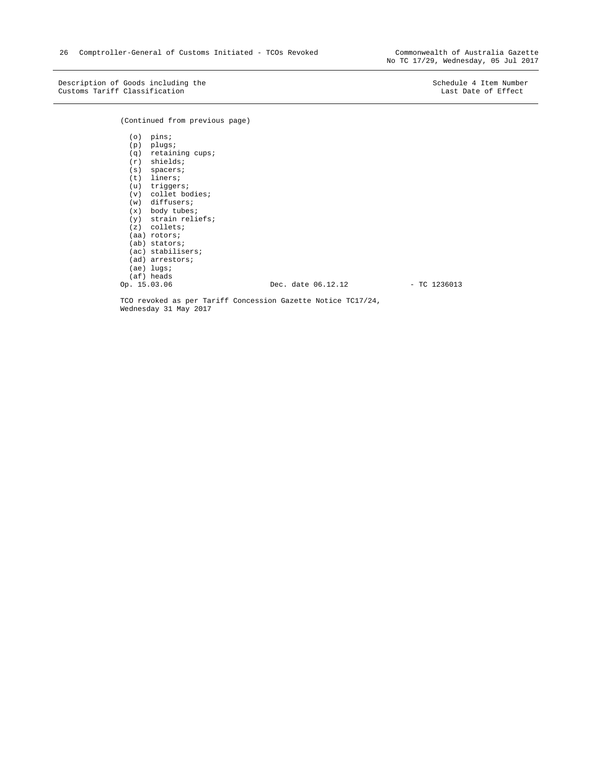Description of Goods including the Schedule 4 Item Number<br>
Customs Tariff Classification Customs Tariff Classification Customs Tariff Classification

(Continued from previous page)

 (o) pins; (p) plugs; (q) retaining cups; (r) shields; (s) spacers; (t) liners; (u) triggers; (v) collet bodies; (w) diffusers; (x) body tubes; (y) strain reliefs; (z) collets; (aa) rotors; (ab) stators; (ac) stabilisers; (ad) arrestors; (ae) lugs;  $(af)$  heads<br>Op.  $15.03.06$ Dec. date 06.12.12 - TC 1236013

TCO revoked as per Tariff Concession Gazette Notice TC17/24, Wednesday 31 May 2017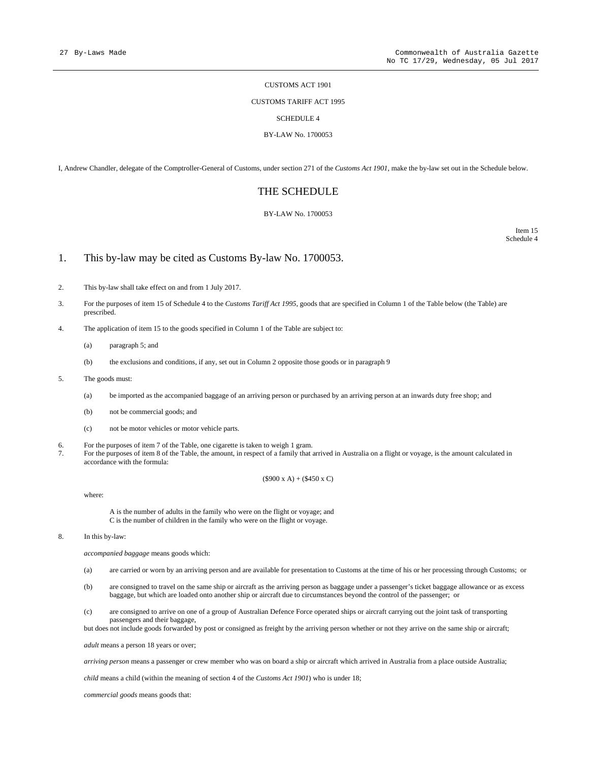#### CUSTOMS ACT 1901

#### CUSTOMS TARIFF ACT 1995

#### SCHEDULE 4

#### BY-LAW No. 1700053

I, Andrew Chandler, delegate of the Comptroller-General of Customs, under section 271 of the *Customs Act 1901*, make the by-law set out in the Schedule below.

### THE SCHEDULE

#### BY-LAW No. 1700053

Item 15 Schedule 4

#### 1. This by-law may be cited as Customs By-law No. 1700053.

- 2. This by-law shall take effect on and from 1 July 2017.
- 3. For the purposes of item 15 of Schedule 4 to the *Customs Tariff Act 1995*, goods that are specified in Column 1 of the Table below (the Table) are prescribed.
- 4. The application of item 15 to the goods specified in Column 1 of the Table are subject to:
	- (a) paragraph 5; and
	- (b) the exclusions and conditions, if any, set out in Column 2 opposite those goods or in paragraph 9
- 5. The goods must:
	- (a) be imported as the accompanied baggage of an arriving person or purchased by an arriving person at an inwards duty free shop; and
	- (b) not be commercial goods; and
	- (c) not be motor vehicles or motor vehicle parts.
- 6. For the purposes of item 7 of the Table, one cigarette is taken to weigh 1 gram.<br>The purposes of item 8 of the Table, the amount in respect of a family that is
- For the purposes of item 8 of the Table, the amount, in respect of a family that arrived in Australia on a flight or voyage, is the amount calculated in accordance with the formula:

#### $(S900 \times A) + (\$450 \times C)$

where:

A is the number of adults in the family who were on the flight or voyage; and C is the number of children in the family who were on the flight or voyage.

8. In this by-law:

*accompanied baggage* means goods which:

- (a) are carried or worn by an arriving person and are available for presentation to Customs at the time of his or her processing through Customs; or
- (b) are consigned to travel on the same ship or aircraft as the arriving person as baggage under a passenger's ticket baggage allowance or as excess baggage, but which are loaded onto another ship or aircraft due to circumstances beyond the control of the passenger; or
- (c) are consigned to arrive on one of a group of Australian Defence Force operated ships or aircraft carrying out the joint task of transporting passengers and their baggage,

but does not include goods forwarded by post or consigned as freight by the arriving person whether or not they arrive on the same ship or aircraft;

*adult* means a person 18 years or over;

*arriving person* means a passenger or crew member who was on board a ship or aircraft which arrived in Australia from a place outside Australia;

*child* means a child (within the meaning of section 4 of the *Customs Act 1901*) who is under 18;

*commercial goods* means goods that: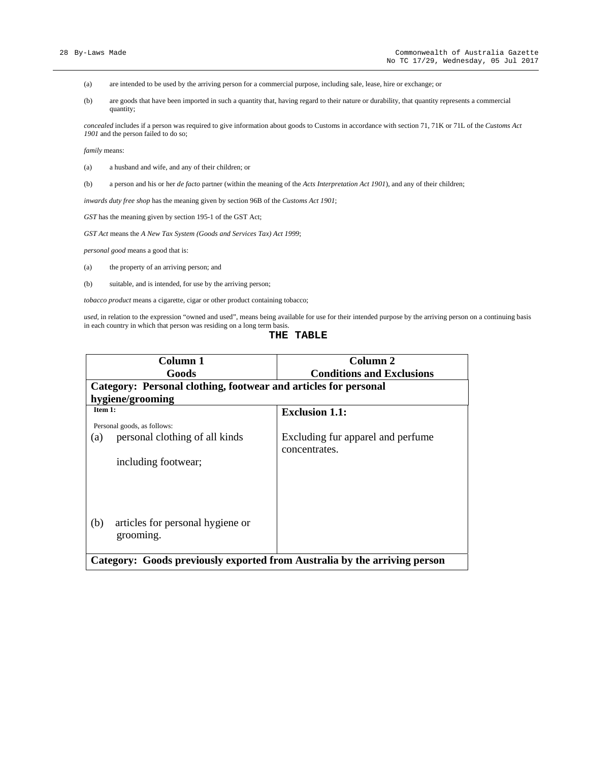- (a) are intended to be used by the arriving person for a commercial purpose, including sale, lease, hire or exchange; or
- (b) are goods that have been imported in such a quantity that, having regard to their nature or durability, that quantity represents a commercial quantity;

*concealed* includes if a person was required to give information about goods to Customs in accordance with section 71, 71K or 71L of the *Customs Act 1901* and the person failed to do so;

*family* means:

- (a) a husband and wife, and any of their children; or
- (b) a person and his or her *de facto* partner (within the meaning of the *Acts Interpretation Act 1901*), and any of their children;

*inwards duty free shop* has the meaning given by section 96B of the *Customs Act 1901*;

*GST* has the meaning given by section 195-1 of the GST Act;

*GST Act* means the *A New Tax System (Goods and Services Tax) Act 1999*;

*personal good* means a good that is:

- (a) the property of an arriving person; and
- (b) suitable, and is intended, for use by the arriving person;

*tobacco product* means a cigarette, cigar or other product containing tobacco;

*used,* in relation to the expression "owned and used", means being available for use for their intended purpose by the arriving person on a continuing basis in each country in which that person was residing on a long term basis.

#### **THE TABLE**

| Column 1                                                                  | Column 2                          |  |
|---------------------------------------------------------------------------|-----------------------------------|--|
| Goods                                                                     | <b>Conditions and Exclusions</b>  |  |
| Category: Personal clothing, footwear and articles for personal           |                                   |  |
| hygiene/grooming                                                          |                                   |  |
| Item 1:                                                                   | <b>Exclusion 1.1:</b>             |  |
| Personal goods, as follows:                                               |                                   |  |
| personal clothing of all kinds<br>(a)                                     | Excluding fur apparel and perfume |  |
|                                                                           | concentrates.                     |  |
| including footwear;                                                       |                                   |  |
|                                                                           |                                   |  |
|                                                                           |                                   |  |
|                                                                           |                                   |  |
|                                                                           |                                   |  |
| articles for personal hygiene or<br>(b)                                   |                                   |  |
| grooming.                                                                 |                                   |  |
|                                                                           |                                   |  |
| Category: Goods previously exported from Australia by the arriving person |                                   |  |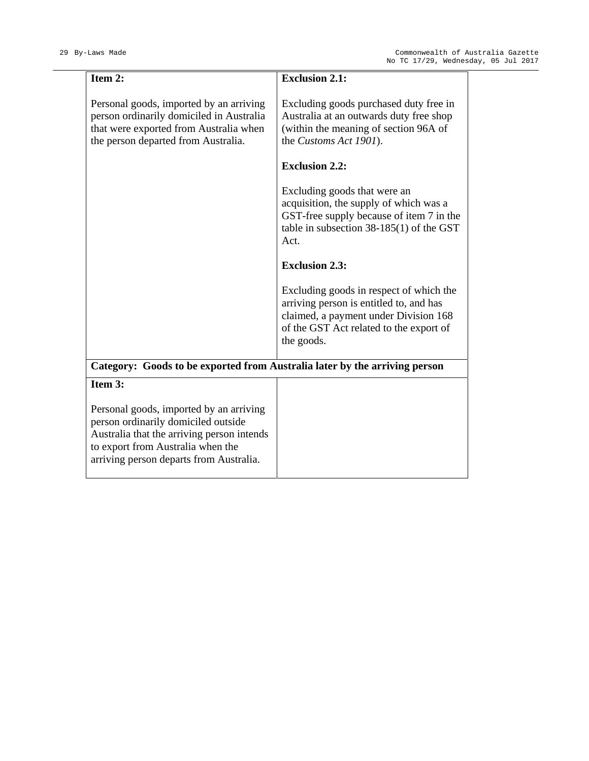| Item 2:                                                                                                                                                                                                      | <b>Exclusion 2.1:</b>                                                                                                                                                                |
|--------------------------------------------------------------------------------------------------------------------------------------------------------------------------------------------------------------|--------------------------------------------------------------------------------------------------------------------------------------------------------------------------------------|
| Personal goods, imported by an arriving<br>person ordinarily domiciled in Australia<br>that were exported from Australia when<br>the person departed from Australia.                                         | Excluding goods purchased duty free in<br>Australia at an outwards duty free shop<br>(within the meaning of section 96A of<br>the Customs Act 1901).                                 |
|                                                                                                                                                                                                              | <b>Exclusion 2.2:</b>                                                                                                                                                                |
|                                                                                                                                                                                                              | Excluding goods that were an<br>acquisition, the supply of which was a<br>GST-free supply because of item 7 in the<br>table in subsection $38-185(1)$ of the GST<br>Act.             |
|                                                                                                                                                                                                              | <b>Exclusion 2.3:</b>                                                                                                                                                                |
|                                                                                                                                                                                                              | Excluding goods in respect of which the<br>arriving person is entitled to, and has<br>claimed, a payment under Division 168<br>of the GST Act related to the export of<br>the goods. |
| Category: Goods to be exported from Australia later by the arriving person                                                                                                                                   |                                                                                                                                                                                      |
| Item 3:                                                                                                                                                                                                      |                                                                                                                                                                                      |
| Personal goods, imported by an arriving<br>person ordinarily domiciled outside<br>Australia that the arriving person intends<br>to export from Australia when the<br>arriving person departs from Australia. |                                                                                                                                                                                      |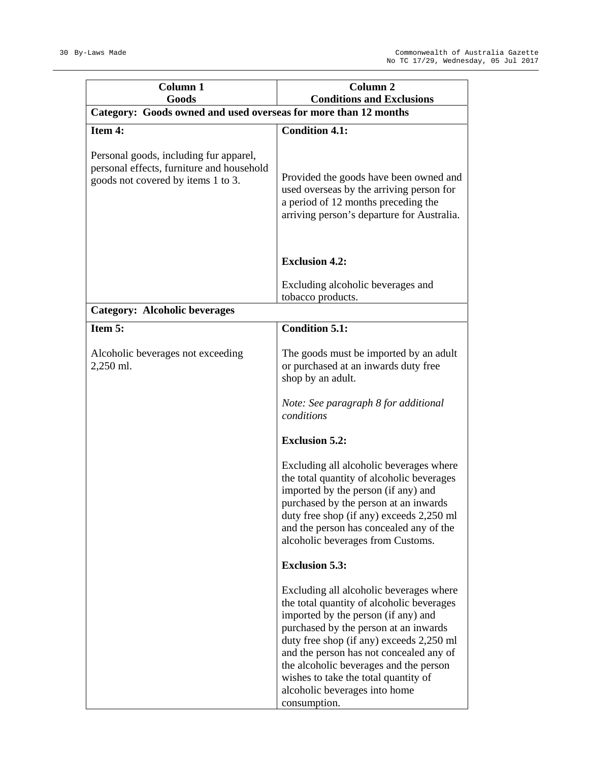| Column <sub>1</sub>                                                                                                       | Column <sub>2</sub>                                                                                                                                                                                                                                                                                                                                                                            |  |  |
|---------------------------------------------------------------------------------------------------------------------------|------------------------------------------------------------------------------------------------------------------------------------------------------------------------------------------------------------------------------------------------------------------------------------------------------------------------------------------------------------------------------------------------|--|--|
| Goods<br>Category: Goods owned and used overseas for more than 12 months                                                  | <b>Conditions and Exclusions</b>                                                                                                                                                                                                                                                                                                                                                               |  |  |
| Item 4:                                                                                                                   | <b>Condition 4.1:</b>                                                                                                                                                                                                                                                                                                                                                                          |  |  |
| Personal goods, including fur apparel,<br>personal effects, furniture and household<br>goods not covered by items 1 to 3. | Provided the goods have been owned and<br>used overseas by the arriving person for<br>a period of 12 months preceding the<br>arriving person's departure for Australia.                                                                                                                                                                                                                        |  |  |
|                                                                                                                           | <b>Exclusion 4.2:</b>                                                                                                                                                                                                                                                                                                                                                                          |  |  |
|                                                                                                                           | Excluding alcoholic beverages and<br>tobacco products.                                                                                                                                                                                                                                                                                                                                         |  |  |
| <b>Category: Alcoholic beverages</b>                                                                                      |                                                                                                                                                                                                                                                                                                                                                                                                |  |  |
| Item 5:                                                                                                                   | <b>Condition 5.1:</b>                                                                                                                                                                                                                                                                                                                                                                          |  |  |
| Alcoholic beverages not exceeding<br>2,250 ml.                                                                            | The goods must be imported by an adult<br>or purchased at an inwards duty free<br>shop by an adult.                                                                                                                                                                                                                                                                                            |  |  |
|                                                                                                                           | Note: See paragraph 8 for additional<br>conditions                                                                                                                                                                                                                                                                                                                                             |  |  |
|                                                                                                                           | <b>Exclusion 5.2:</b>                                                                                                                                                                                                                                                                                                                                                                          |  |  |
|                                                                                                                           | Excluding all alcoholic beverages where<br>the total quantity of alcoholic beverages<br>imported by the person (if any) and<br>purchased by the person at an inwards<br>duty free shop (if any) exceeds 2,250 ml<br>and the person has concealed any of the<br>alcoholic beverages from Customs.                                                                                               |  |  |
|                                                                                                                           | <b>Exclusion 5.3:</b>                                                                                                                                                                                                                                                                                                                                                                          |  |  |
|                                                                                                                           | Excluding all alcoholic beverages where<br>the total quantity of alcoholic beverages<br>imported by the person (if any) and<br>purchased by the person at an inwards<br>duty free shop (if any) exceeds 2,250 ml<br>and the person has not concealed any of<br>the alcoholic beverages and the person<br>wishes to take the total quantity of<br>alcoholic beverages into home<br>consumption. |  |  |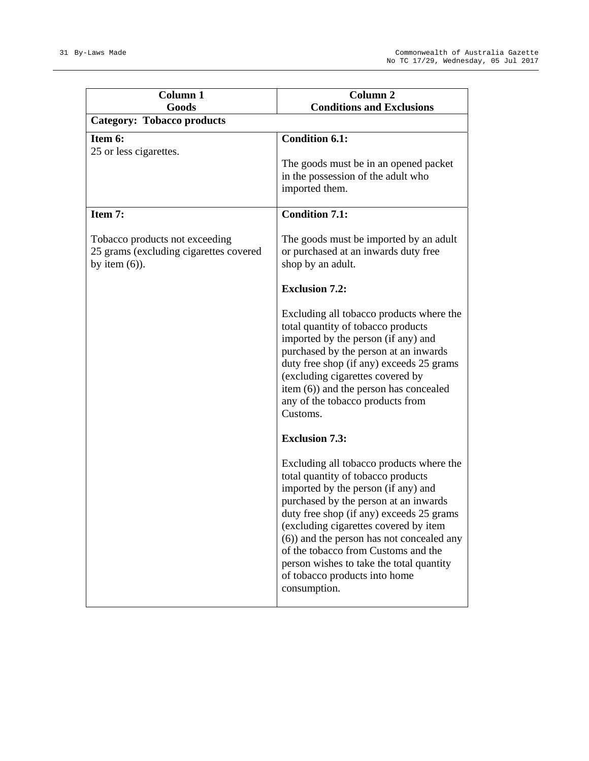| Column 1<br>Goods                                                                            | Column <sub>2</sub><br><b>Conditions and Exclusions</b>                                                                                                                                                                                                                                                                                                                                                                              |
|----------------------------------------------------------------------------------------------|--------------------------------------------------------------------------------------------------------------------------------------------------------------------------------------------------------------------------------------------------------------------------------------------------------------------------------------------------------------------------------------------------------------------------------------|
| <b>Category: Tobacco products</b>                                                            |                                                                                                                                                                                                                                                                                                                                                                                                                                      |
| Item 6:                                                                                      | <b>Condition 6.1:</b>                                                                                                                                                                                                                                                                                                                                                                                                                |
| 25 or less cigarettes.                                                                       | The goods must be in an opened packet<br>in the possession of the adult who<br>imported them.                                                                                                                                                                                                                                                                                                                                        |
| Item 7:                                                                                      | <b>Condition 7.1:</b>                                                                                                                                                                                                                                                                                                                                                                                                                |
| Tobacco products not exceeding<br>25 grams (excluding cigarettes covered<br>by item $(6)$ ). | The goods must be imported by an adult<br>or purchased at an inwards duty free<br>shop by an adult.                                                                                                                                                                                                                                                                                                                                  |
|                                                                                              | <b>Exclusion 7.2:</b>                                                                                                                                                                                                                                                                                                                                                                                                                |
|                                                                                              | Excluding all tobacco products where the<br>total quantity of tobacco products<br>imported by the person (if any) and<br>purchased by the person at an inwards<br>duty free shop (if any) exceeds 25 grams<br>(excluding cigarettes covered by<br>item (6)) and the person has concealed<br>any of the tobacco products from<br>Customs.                                                                                             |
|                                                                                              | <b>Exclusion 7.3:</b>                                                                                                                                                                                                                                                                                                                                                                                                                |
|                                                                                              | Excluding all tobacco products where the<br>total quantity of tobacco products<br>imported by the person (if any) and<br>purchased by the person at an inwards<br>duty free shop (if any) exceeds 25 grams<br>(excluding cigarettes covered by item<br>(6)) and the person has not concealed any<br>of the tobacco from Customs and the<br>person wishes to take the total quantity<br>of tobacco products into home<br>consumption. |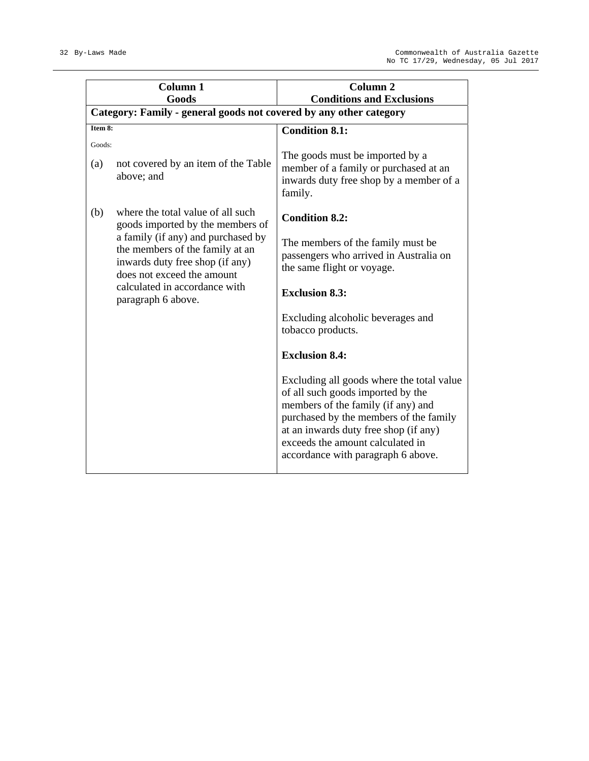|               | Column <sub>1</sub><br>Goods                                                                                                           | Column <sub>2</sub><br><b>Conditions and Exclusions</b>                                                                                                                                                                                                                           |
|---------------|----------------------------------------------------------------------------------------------------------------------------------------|-----------------------------------------------------------------------------------------------------------------------------------------------------------------------------------------------------------------------------------------------------------------------------------|
|               | Category: Family - general goods not covered by any other category                                                                     |                                                                                                                                                                                                                                                                                   |
| Item $8:$     |                                                                                                                                        | <b>Condition 8.1:</b>                                                                                                                                                                                                                                                             |
| Goods:<br>(a) | not covered by an item of the Table<br>above; and                                                                                      | The goods must be imported by a<br>member of a family or purchased at an<br>inwards duty free shop by a member of a<br>family.                                                                                                                                                    |
| (b)           | where the total value of all such<br>goods imported by the members of                                                                  | <b>Condition 8.2:</b>                                                                                                                                                                                                                                                             |
|               | a family (if any) and purchased by<br>the members of the family at an<br>inwards duty free shop (if any)<br>does not exceed the amount | The members of the family must be<br>passengers who arrived in Australia on<br>the same flight or voyage.                                                                                                                                                                         |
|               | calculated in accordance with<br>paragraph 6 above.                                                                                    | <b>Exclusion 8.3:</b>                                                                                                                                                                                                                                                             |
|               |                                                                                                                                        | Excluding alcoholic beverages and<br>tobacco products.                                                                                                                                                                                                                            |
|               |                                                                                                                                        | <b>Exclusion 8.4:</b>                                                                                                                                                                                                                                                             |
|               |                                                                                                                                        | Excluding all goods where the total value<br>of all such goods imported by the<br>members of the family (if any) and<br>purchased by the members of the family<br>at an inwards duty free shop (if any)<br>exceeds the amount calculated in<br>accordance with paragraph 6 above. |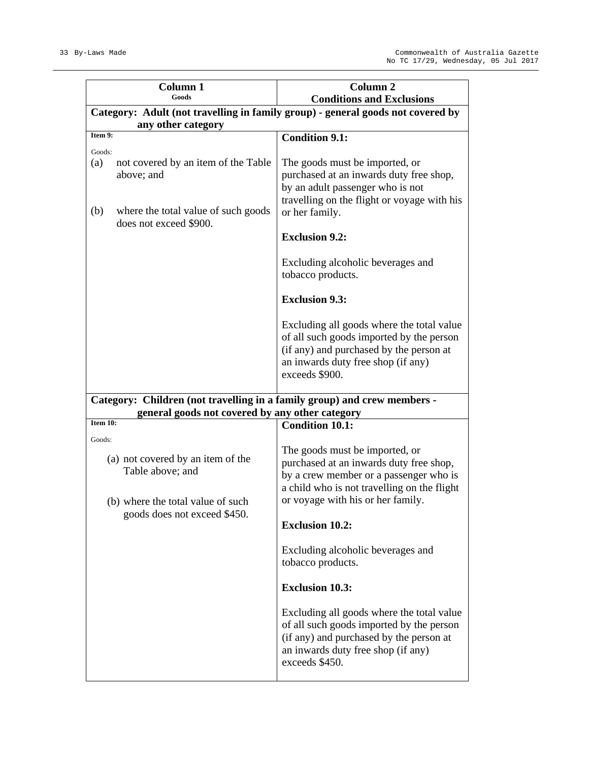|                      | Column 1<br>Goods                                                                                                          | Column <sub>2</sub><br><b>Conditions and Exclusions</b>                                                                                                                                                 |  |  |  |  |  |  |  |
|----------------------|----------------------------------------------------------------------------------------------------------------------------|---------------------------------------------------------------------------------------------------------------------------------------------------------------------------------------------------------|--|--|--|--|--|--|--|
|                      | Category: Adult (not travelling in family group) - general goods not covered by<br>any other category                      |                                                                                                                                                                                                         |  |  |  |  |  |  |  |
| Item 9:              |                                                                                                                            | <b>Condition 9.1:</b>                                                                                                                                                                                   |  |  |  |  |  |  |  |
| Goods:<br>(a)<br>(b) | not covered by an item of the Table<br>above; and<br>where the total value of such goods                                   | The goods must be imported, or<br>purchased at an inwards duty free shop,<br>by an adult passenger who is not<br>travelling on the flight or voyage with his<br>or her family.                          |  |  |  |  |  |  |  |
|                      | does not exceed \$900.                                                                                                     | <b>Exclusion 9.2:</b>                                                                                                                                                                                   |  |  |  |  |  |  |  |
|                      |                                                                                                                            | Excluding alcoholic beverages and<br>tobacco products.                                                                                                                                                  |  |  |  |  |  |  |  |
|                      |                                                                                                                            | <b>Exclusion 9.3:</b>                                                                                                                                                                                   |  |  |  |  |  |  |  |
|                      |                                                                                                                            | Excluding all goods where the total value<br>of all such goods imported by the person<br>(if any) and purchased by the person at<br>an inwards duty free shop (if any)<br>exceeds \$900.                |  |  |  |  |  |  |  |
|                      | general goods not covered by any other category                                                                            | Category: Children (not travelling in a family group) and crew members -                                                                                                                                |  |  |  |  |  |  |  |
| Item 10:             |                                                                                                                            | <b>Condition 10.1:</b>                                                                                                                                                                                  |  |  |  |  |  |  |  |
| Goods:               | (a) not covered by an item of the<br>Table above; and<br>(b) where the total value of such<br>goods does not exceed \$450. | The goods must be imported, or<br>purchased at an inwards duty free shop,<br>by a crew member or a passenger who is<br>a child who is not travelling on the flight<br>or voyage with his or her family. |  |  |  |  |  |  |  |
|                      |                                                                                                                            | <b>Exclusion 10.2:</b>                                                                                                                                                                                  |  |  |  |  |  |  |  |
|                      |                                                                                                                            | Excluding alcoholic beverages and<br>tobacco products.                                                                                                                                                  |  |  |  |  |  |  |  |
|                      |                                                                                                                            | <b>Exclusion 10.3:</b>                                                                                                                                                                                  |  |  |  |  |  |  |  |
|                      |                                                                                                                            | Excluding all goods where the total value<br>of all such goods imported by the person<br>(if any) and purchased by the person at<br>an inwards duty free shop (if any)<br>exceeds \$450.                |  |  |  |  |  |  |  |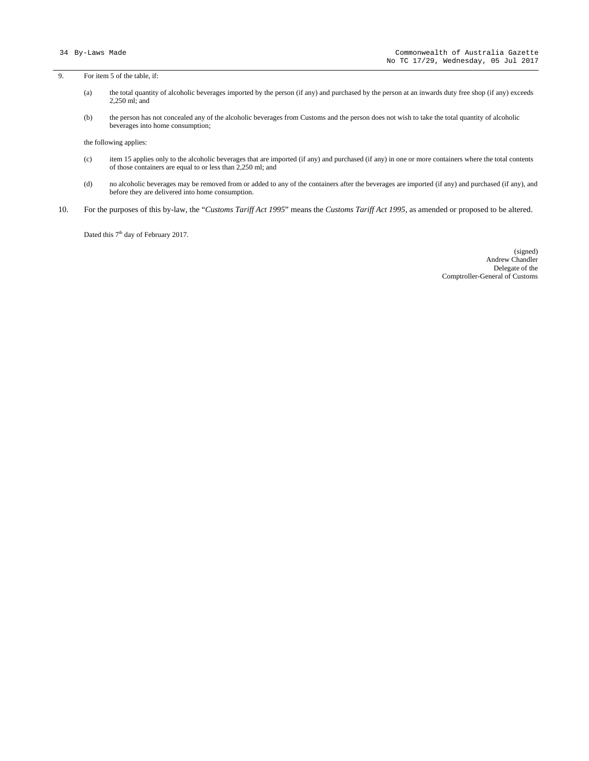9. For item 5 of the table, if:

- (a) the total quantity of alcoholic beverages imported by the person (if any) and purchased by the person at an inwards duty free shop (if any) exceeds 2,250 ml; and
- (b) the person has not concealed any of the alcoholic beverages from Customs and the person does not wish to take the total quantity of alcoholic beverages into home consumption;

the following applies:

- (c) item 15 applies only to the alcoholic beverages that are imported (if any) and purchased (if any) in one or more containers where the total contents of those containers are equal to or less than 2,250 ml; and
- (d) no alcoholic beverages may be removed from or added to any of the containers after the beverages are imported (if any) and purchased (if any), and before they are delivered into home consumption.
- 10. For the purposes of this by-law, the "*Customs Tariff Act 1995*" means the *Customs Tariff Act 1995*, as amended or proposed to be altered.

Dated this 7<sup>th</sup> day of February 2017.

(signed) Andrew Chandler Delegate of the Comptroller-General of Customs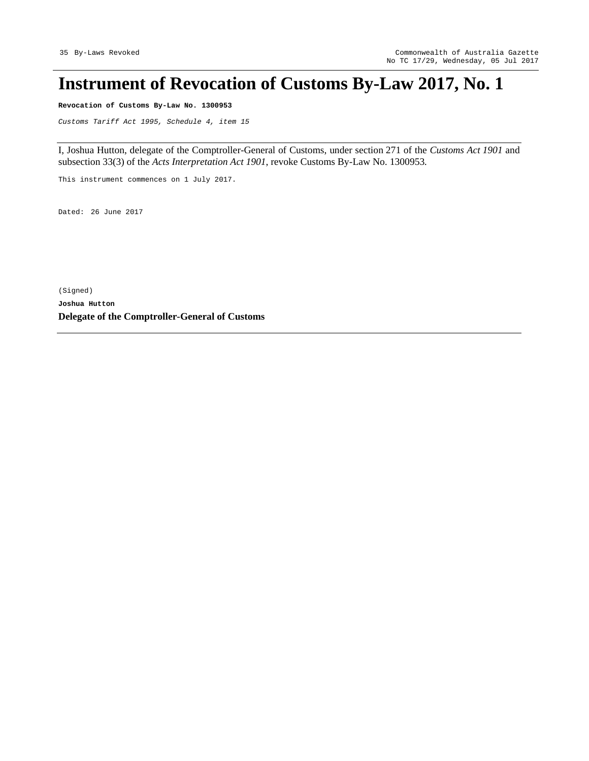## **Instrument of Revocation of Customs By-Law 2017, No. 1**

**Revocation of Customs By-Law No. 1300953** 

*Customs Tariff Act 1995, Schedule 4, item 15* 

I, Joshua Hutton, delegate of the Comptroller-General of Customs, under section 271 of the *Customs Act 1901* and subsection 33(3) of the *Acts Interpretation Act 1901*, revoke Customs By-Law No. 1300953*.*

This instrument commences on 1 July 2017.

Dated: 26 June 2017

(Signed) **Joshua Hutton Delegate of the Comptroller-General of Customs**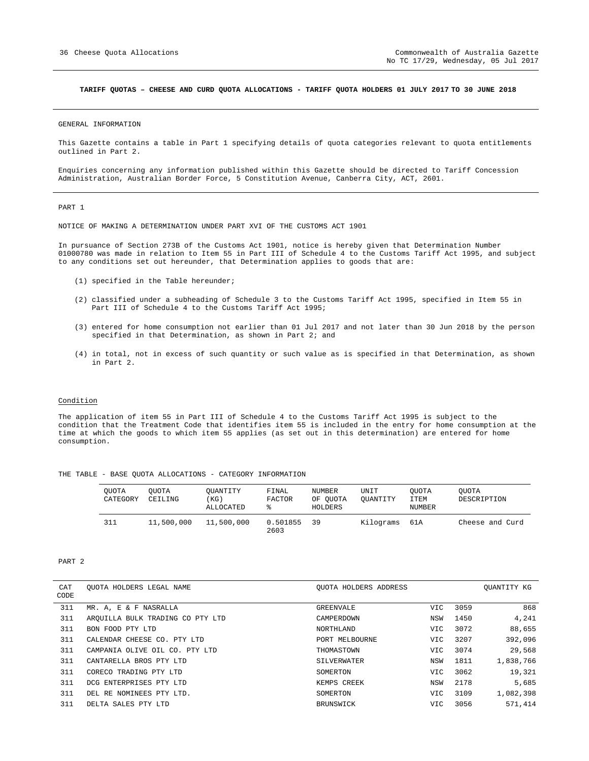#### **TARIFF QUOTAS – CHEESE AND CURD QUOTA ALLOCATIONS - TARIFF QUOTA HOLDERS 01 JULY 2017 TO 30 JUNE 2018**

GENERAL INFORMATION

This Gazette contains a table in Part 1 specifying details of quota categories relevant to quota entitlements outlined in Part 2.

Enquiries concerning any information published within this Gazette should be directed to Tariff Concession Administration, Australian Border Force, 5 Constitution Avenue, Canberra City, ACT, 2601.

PART 1

NOTICE OF MAKING A DETERMINATION UNDER PART XVI OF THE CUSTOMS ACT 1901

In pursuance of Section 273B of the Customs Act 1901, notice is hereby given that Determination Number 01000780 was made in relation to Item 55 in Part III of Schedule 4 to the Customs Tariff Act 1995, and subject to any conditions set out hereunder, that Determination applies to goods that are:

- (1) specified in the Table hereunder;
- (2) classified under a subheading of Schedule 3 to the Customs Tariff Act 1995, specified in Item 55 in Part III of Schedule 4 to the Customs Tariff Act 1995;
- (3) entered for home consumption not earlier than 01 Jul 2017 and not later than 30 Jun 2018 by the person specified in that Determination, as shown in Part 2; and
- (4) in total, not in excess of such quantity or such value as is specified in that Determination, as shown in Part 2.

#### Condition

The application of item 55 in Part III of Schedule 4 to the Customs Tariff Act 1995 is subject to the condition that the Treatment Code that identifies item 55 is included in the entry for home consumption at the time at which the goods to which item 55 applies (as set out in this determination) are entered for home consumption.

|  |  |  |  |  |  |  |  | THE TABLE - BASE QUOTA ALLOCATIONS - CATEGORY INFORMATION |
|--|--|--|--|--|--|--|--|-----------------------------------------------------------|
|--|--|--|--|--|--|--|--|-----------------------------------------------------------|

| <b>OUOTA</b><br>CATEGORY | OUOTA<br>CEILING | OUANTITY<br>(KG)<br><b>ALLOCATED</b> | FINAL<br><b>FACTOR</b><br>⊱ | NUMBER<br>OF OUOTA<br>HOLDERS | UNIT<br>OUANTITY | OUOTA<br><b>ITEM</b><br>NUMBER | <b>OUOTA</b><br>DESCRIPTION |
|--------------------------|------------------|--------------------------------------|-----------------------------|-------------------------------|------------------|--------------------------------|-----------------------------|
| 311                      | 11,500,000       | 11,500,000                           | 0.501855<br>2603            | 39                            | Kilograms        | 61A                            | Cheese and Curd             |

#### PART 2

| CAT<br>CODE | OUOTA HOLDERS LEGAL NAME         | OUOTA HOLDERS ADDRESS |      |      | OUANTITY KG |
|-------------|----------------------------------|-----------------------|------|------|-------------|
| 311         | MR. A, E & F NASRALLA            | GREENVALE             | VIC. | 3059 | 868         |
| 311         | AROUILLA BULK TRADING CO PTY LTD | CAMPERDOWN            | NSW  | 1450 | 4,241       |
| 311         | BON FOOD PTY LTD                 | NORTHLAND             | VIC. | 3072 | 88,655      |
| 311         | CALENDAR CHEESE CO. PTY LTD      | PORT MELBOURNE        | VIC. | 3207 | 392,096     |
| 311         | CAMPANIA OLIVE OIL CO. PTY LTD   | THOMASTOWN            | VIC  | 3074 | 29,568      |
| 311         | CANTARELLA BROS PTY LTD          | SILVERWATER           | NSW  | 1811 | 1,838,766   |
| 311         | CORECO TRADING PTY LTD           | SOMERTON              | VIC. | 3062 | 19,321      |
| 311         | DCG ENTERPRISES PTY LTD          | KEMPS CREEK           | NSW  | 2178 | 5,685       |
| 311         | DEL RE NOMINEES PTY LTD.         | SOMERTON              | VIC. | 3109 | 1,082,398   |
| 311         | DELTA SALES PTY LTD              | BRUNSWICK             | VIC  | 3056 | 571,414     |